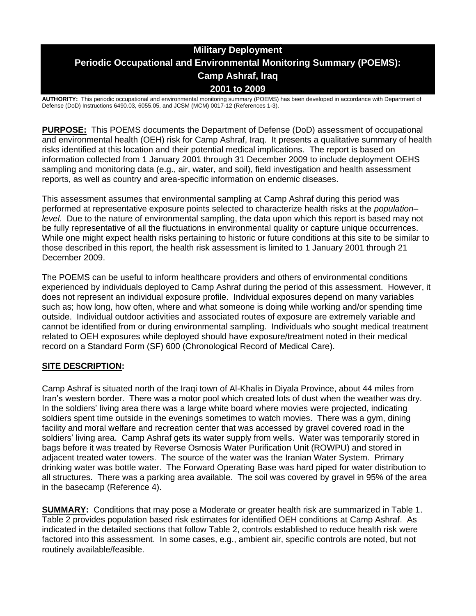# **Military Deployment Periodic Occupational and Environmental Monitoring Summary (POEMS): Camp Ashraf, Iraq 2001 to 2009**

**AUTHORITY:** This periodic occupational and environmental monitoring summary (POEMS) has been developed in accordance with Department of Defense (DoD) Instructions 6490.03, 6055.05, and JCSM (MCM) 0017-12 (References 1-3).

**PURPOSE:** This POEMS documents the Department of Defense (DoD) assessment of occupational and environmental health (OEH) risk for Camp Ashraf, Iraq. It presents a qualitative summary of health risks identified at this location and their potential medical implications. The report is based on information collected from 1 January 2001 through 31 December 2009 to include deployment OEHS sampling and monitoring data (e.g., air, water, and soil), field investigation and health assessment reports, as well as country and area-specific information on endemic diseases.

This assessment assumes that environmental sampling at Camp Ashraf during this period was performed at representative exposure points selected to characterize health risks at the *population– level*. Due to the nature of environmental sampling, the data upon which this report is based may not be fully representative of all the fluctuations in environmental quality or capture unique occurrences. While one might expect health risks pertaining to historic or future conditions at this site to be similar to those described in this report, the health risk assessment is limited to 1 January 2001 through 21 December 2009.

The POEMS can be useful to inform healthcare providers and others of environmental conditions experienced by individuals deployed to Camp Ashraf during the period of this assessment. However, it does not represent an individual exposure profile. Individual exposures depend on many variables such as; how long, how often, where and what someone is doing while working and/or spending time outside. Individual outdoor activities and associated routes of exposure are extremely variable and cannot be identified from or during environmental sampling. Individuals who sought medical treatment related to OEH exposures while deployed should have exposure/treatment noted in their medical record on a Standard Form (SF) 600 (Chronological Record of Medical Care).

### **SITE DESCRIPTION:**

Camp Ashraf is situated north of the Iraqi town of Al-Khalis in Diyala Province, about 44 miles from Iran's western border. There was a motor pool which created lots of dust when the weather was dry. In the soldiers' living area there was a large white board where movies were projected, indicating soldiers spent time outside in the evenings sometimes to watch movies. There was a gym, dining facility and moral welfare and recreation center that was accessed by gravel covered road in the soldiers' living area. Camp Ashraf gets its water supply from wells. Water was temporarily stored in bags before it was treated by Reverse Osmosis Water Purification Unit (ROWPU) and stored in adjacent treated water towers. The source of the water was the Iranian Water System. Primary drinking water was bottle water. The Forward Operating Base was hard piped for water distribution to all structures. There was a parking area available. The soil was covered by gravel in 95% of the area in the basecamp (Reference 4).

**SUMMARY:** Conditions that may pose a Moderate or greater health risk are summarized in Table 1. Table 2 provides population based risk estimates for identified OEH conditions at Camp Ashraf. As indicated in the detailed sections that follow Table 2, controls established to reduce health risk were factored into this assessment. In some cases, e.g., ambient air, specific controls are noted, but not routinely available/feasible.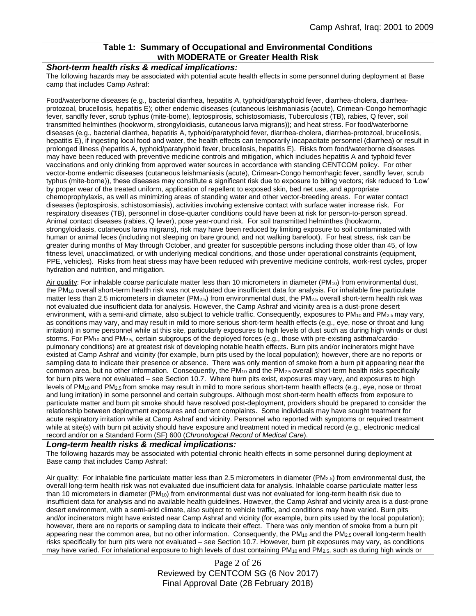### **Table 1: Summary of Occupational and Environmental Conditions with MODERATE or Greater Health Risk**

#### *Short-term health risks & medical implications:*

The following hazards may be associated with potential acute health effects in some personnel during deployment at Base camp that includes Camp Ashraf:

Food/waterborne diseases (e.g., bacterial diarrhea, hepatitis A, typhoid/paratyphoid fever, diarrhea-cholera, diarrheaprotozoal, brucellosis, hepatitis E); other endemic diseases (cutaneous leishmaniasis (acute), Crimean-Congo hemorrhagic fever, sandfly fever, scrub typhus (mite-borne), leptospirosis, schistosomiasis, Tuberculosis (TB), rabies, Q fever, soil transmitted helminthes (hookworm, strongyloidiasis, cutaneous larva migrans)); and heat stress. For food/waterborne diseases (e.g., bacterial diarrhea, hepatitis A, typhoid/paratyphoid fever, diarrhea-cholera, diarrhea-protozoal, brucellosis, hepatitis E), if ingesting local food and water, the health effects can temporarily incapacitate personnel (diarrhea) or result in prolonged illness (hepatitis A, typhoid/paratyphoid fever, brucellosis, hepatitis E). Risks from food/waterborne diseases may have been reduced with preventive medicine controls and mitigation, which includes hepatitis A and typhoid fever vaccinations and only drinking from approved water sources in accordance with standing CENTCOM policy. For other vector-borne endemic diseases (cutaneous leishmaniasis (acute), Crimean-Congo hemorrhagic fever, sandfly fever, scrub typhus (mite-borne)), these diseases may constitute a significant risk due to exposure to biting vectors; risk reduced to 'Low' by proper wear of the treated uniform, application of repellent to exposed skin, bed net use, and appropriate chemoprophylaxis, as well as minimizing areas of standing water and other vector-breeding areas. For water contact diseases (leptospirosis, schistosomiasis), activities involving extensive contact with surface water increase risk. For respiratory diseases (TB), personnel in close-quarter conditions could have been at risk for person-to-person spread. Animal contact diseases (rabies, Q fever), pose year-round risk. For soil transmitted helminthes (hookworm, strongyloidiasis, cutaneous larva migrans), risk may have been reduced by limiting exposure to soil contaminated with human or animal feces (including not sleeping on bare ground, and not walking barefoot). For heat stress, risk can be greater during months of May through October, and greater for susceptible persons including those older than 45, of low fitness level, unacclimatized, or with underlying medical conditions, and those under operational constraints (equipment, PPE, vehicles). Risks from heat stress may have been reduced with preventive medicine controls, work-rest cycles, proper hydration and nutrition, and mitigation.

Air quality: For inhalable coarse particulate matter less than 10 micrometers in diameter (PM<sub>10</sub>) from environmental dust, the PM<sup>10</sup> overall short-term health risk was not evaluated due insufficient data for analysis. For inhalable fine particulate matter less than 2.5 micrometers in diameter (PM<sub>2.5</sub>) from environmental dust, the PM<sub>2.5</sub> overall short-term health risk was not evaluated due insufficient data for analysis. However, the Camp Ashraf and vicinity area is a dust-prone desert environment, with a semi-arid climate, also subject to vehicle traffic. Consequently, exposures to  $PM_{10}$  and  $PM_{2.5}$  may vary, as conditions may vary, and may result in mild to more serious short-term health effects (e.g., eye, nose or throat and lung irritation) in some personnel while at this site, particularly exposures to high levels of dust such as during high winds or dust storms. For PM<sub>10</sub> and PM<sub>2.5</sub>, certain subgroups of the deployed forces (e.g., those with pre-existing asthma/cardiopulmonary conditions) are at greatest risk of developing notable health effects. Burn pits and/or incinerators might have existed at Camp Ashraf and vicinity (for example, burn pits used by the local population); however, there are no reports or sampling data to indicate their presence or absence. There was only mention of smoke from a burn pit appearing near the common area, but no other information. Consequently, the PM10 and the PM2.5 overall short-term health risks specifically for burn pits were not evaluated – see Section 10.7. Where burn pits exist, exposures may vary, and exposures to high levels of PM<sub>10</sub> and PM<sub>2.5</sub> from smoke may result in mild to more serious short-term health effects (e.g., eye, nose or throat and lung irritation) in some personnel and certain subgroups. Although most short-term health effects from exposure to particulate matter and burn pit smoke should have resolved post-deployment, providers should be prepared to consider the relationship between deployment exposures and current complaints. Some individuals may have sought treatment for acute respiratory irritation while at Camp Ashraf and vicinity. Personnel who reported with symptoms or required treatment while at site(s) with burn pit activity should have exposure and treatment noted in medical record (e.g., electronic medical record and/or on a Standard Form (SF) 600 (*Chronological Record of Medical Care*).

### *Long-term health risks & medical implications:*

The following hazards may be associated with potential chronic health effects in some personnel during deployment at Base camp that includes Camp Ashraf:

Air quality: For inhalable fine particulate matter less than 2.5 micrometers in diameter (PM<sub>2.5</sub>) from environmental dust, the overall long-term health risk was not evaluated due insufficient data for analysis. Inhalable coarse particulate matter less than 10 micrometers in diameter (PM<sub>10</sub>) from environmental dust was not evaluated for long-term health risk due to insufficient data for analysis and no available health guidelines. However, the Camp Ashraf and vicinity area is a dust-prone desert environment, with a semi-arid climate, also subject to vehicle traffic, and conditions may have varied. Burn pits and/or incinerators might have existed near Camp Ashraf and vicinity (for example, burn pits used by the local population); however, there are no reports or sampling data to indicate their effect. There was only mention of smoke from a burn pit appearing near the common area, but no other information. Consequently, the  $PM_{10}$  and the  $PM_{2.5}$  overall long-term health risks specifically for burn pits were not evaluated – see Section 10.7. However, burn pit exposures may vary, as conditions may have varied. For inhalational exposure to high levels of dust containing  $PM_{10}$  and  $PM_{2.5}$ , such as during high winds or

> Page 2 of 26 Reviewed by CENTCOM SG (6 Nov 2017) Final Approval Date (28 February 2018)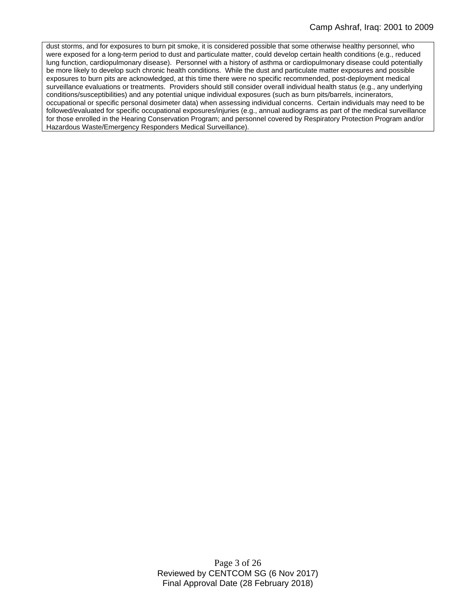dust storms, and for exposures to burn pit smoke, it is considered possible that some otherwise healthy personnel, who were exposed for a long-term period to dust and particulate matter, could develop certain health conditions (e.g., reduced lung function, cardiopulmonary disease). Personnel with a history of asthma or cardiopulmonary disease could potentially be more likely to develop such chronic health conditions. While the dust and particulate matter exposures and possible exposures to burn pits are acknowledged, at this time there were no specific recommended, post-deployment medical surveillance evaluations or treatments. Providers should still consider overall individual health status (e.g., any underlying conditions/susceptibilities) and any potential unique individual exposures (such as burn pits/barrels, incinerators, occupational or specific personal dosimeter data) when assessing individual concerns. Certain individuals may need to be followed/evaluated for specific occupational exposures/injuries (e.g., annual audiograms as part of the medical surveillance for those enrolled in the Hearing Conservation Program; and personnel covered by Respiratory Protection Program and/or Hazardous Waste/Emergency Responders Medical Surveillance).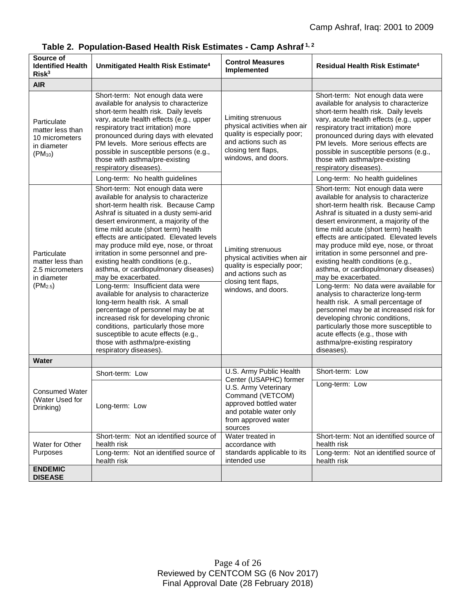| Source of<br><b>Identified Health</b><br>Risk <sup>3</sup>                                | Unmitigated Health Risk Estimate <sup>4</sup>                                                                                                                                                                                                                                                                                                                                                                                                                                                                                                                                                                                                                                                                                                                                                                            | <b>Control Measures</b><br>Implemented                                                                                                                 | <b>Residual Health Risk Estimate<sup>4</sup></b>                                                                                                                                                                                                                                                                                                                                                                                                                                                                                                                                                                                                                                                                                                                                                               |
|-------------------------------------------------------------------------------------------|--------------------------------------------------------------------------------------------------------------------------------------------------------------------------------------------------------------------------------------------------------------------------------------------------------------------------------------------------------------------------------------------------------------------------------------------------------------------------------------------------------------------------------------------------------------------------------------------------------------------------------------------------------------------------------------------------------------------------------------------------------------------------------------------------------------------------|--------------------------------------------------------------------------------------------------------------------------------------------------------|----------------------------------------------------------------------------------------------------------------------------------------------------------------------------------------------------------------------------------------------------------------------------------------------------------------------------------------------------------------------------------------------------------------------------------------------------------------------------------------------------------------------------------------------------------------------------------------------------------------------------------------------------------------------------------------------------------------------------------------------------------------------------------------------------------------|
| <b>AIR</b>                                                                                |                                                                                                                                                                                                                                                                                                                                                                                                                                                                                                                                                                                                                                                                                                                                                                                                                          |                                                                                                                                                        |                                                                                                                                                                                                                                                                                                                                                                                                                                                                                                                                                                                                                                                                                                                                                                                                                |
| Particulate<br>matter less than<br>10 micrometers<br>in diameter<br>$(PM_{10})$           | Short-term: Not enough data were<br>available for analysis to characterize<br>short-term health risk. Daily levels<br>vary, acute health effects (e.g., upper<br>respiratory tract irritation) more<br>pronounced during days with elevated<br>PM levels. More serious effects are<br>possible in susceptible persons (e.g.,<br>those with asthma/pre-existing<br>respiratory diseases).                                                                                                                                                                                                                                                                                                                                                                                                                                 | Limiting strenuous<br>physical activities when air<br>quality is especially poor;<br>and actions such as<br>closing tent flaps,<br>windows, and doors. | Short-term: Not enough data were<br>available for analysis to characterize<br>short-term health risk. Daily levels<br>vary, acute health effects (e.g., upper<br>respiratory tract irritation) more<br>pronounced during days with elevated<br>PM levels. More serious effects are<br>possible in susceptible persons (e.g.,<br>those with asthma/pre-existing<br>respiratory diseases).                                                                                                                                                                                                                                                                                                                                                                                                                       |
|                                                                                           | Long-term: No health guidelines                                                                                                                                                                                                                                                                                                                                                                                                                                                                                                                                                                                                                                                                                                                                                                                          |                                                                                                                                                        | Long-term: No health guidelines                                                                                                                                                                                                                                                                                                                                                                                                                                                                                                                                                                                                                                                                                                                                                                                |
| Particulate<br>matter less than<br>2.5 micrometers<br>in diameter<br>(PM <sub>2.5</sub> ) | Short-term: Not enough data were<br>available for analysis to characterize<br>short-term health risk. Because Camp<br>Ashraf is situated in a dusty semi-arid<br>desert environment, a majority of the<br>time mild acute (short term) health<br>effects are anticipated. Elevated levels<br>may produce mild eye, nose, or throat<br>irritation in some personnel and pre-<br>existing health conditions (e.g.,<br>asthma, or cardiopulmonary diseases)<br>may be exacerbated.<br>Long-term: Insufficient data were<br>available for analysis to characterize<br>long-term health risk. A small<br>percentage of personnel may be at<br>increased risk for developing chronic<br>conditions, particularly those more<br>susceptible to acute effects (e.g.,<br>those with asthma/pre-existing<br>respiratory diseases). | Limiting strenuous<br>physical activities when air<br>quality is especially poor;<br>and actions such as<br>closing tent flaps,<br>windows, and doors. | Short-term: Not enough data were<br>available for analysis to characterize<br>short-term health risk. Because Camp<br>Ashraf is situated in a dusty semi-arid<br>desert environment, a majority of the<br>time mild acute (short term) health<br>effects are anticipated. Elevated levels<br>may produce mild eye, nose, or throat<br>irritation in some personnel and pre-<br>existing health conditions (e.g.,<br>asthma, or cardiopulmonary diseases)<br>may be exacerbated.<br>Long-term: No data were available for<br>analysis to characterize long-term<br>health risk. A small percentage of<br>personnel may be at increased risk for<br>developing chronic conditions,<br>particularly those more susceptible to<br>acute effects (e.g., those with<br>asthma/pre-existing respiratory<br>diseases). |
| <b>Water</b>                                                                              |                                                                                                                                                                                                                                                                                                                                                                                                                                                                                                                                                                                                                                                                                                                                                                                                                          |                                                                                                                                                        |                                                                                                                                                                                                                                                                                                                                                                                                                                                                                                                                                                                                                                                                                                                                                                                                                |
| <b>Consumed Water</b><br>(Water Used for<br>Drinking)                                     | Short-term: Low                                                                                                                                                                                                                                                                                                                                                                                                                                                                                                                                                                                                                                                                                                                                                                                                          | U.S. Army Public Health<br>Center (USAPHC) former                                                                                                      | Short-term: Low                                                                                                                                                                                                                                                                                                                                                                                                                                                                                                                                                                                                                                                                                                                                                                                                |
|                                                                                           | Long-term: Low                                                                                                                                                                                                                                                                                                                                                                                                                                                                                                                                                                                                                                                                                                                                                                                                           | U.S. Army Veterinary<br>Command (VETCOM)<br>approved bottled water<br>and potable water only<br>from approved water<br>sources                         | Long-term: Low                                                                                                                                                                                                                                                                                                                                                                                                                                                                                                                                                                                                                                                                                                                                                                                                 |
| Water for Other<br>Purposes                                                               | Short-term: Not an identified source of<br>health risk                                                                                                                                                                                                                                                                                                                                                                                                                                                                                                                                                                                                                                                                                                                                                                   | Water treated in<br>accordance with                                                                                                                    | Short-term: Not an identified source of<br>health risk                                                                                                                                                                                                                                                                                                                                                                                                                                                                                                                                                                                                                                                                                                                                                         |
|                                                                                           | Long-term: Not an identified source of<br>health risk                                                                                                                                                                                                                                                                                                                                                                                                                                                                                                                                                                                                                                                                                                                                                                    | standards applicable to its<br>intended use                                                                                                            | Long-term: Not an identified source of<br>health risk                                                                                                                                                                                                                                                                                                                                                                                                                                                                                                                                                                                                                                                                                                                                                          |
| <b>ENDEMIC</b><br><b>DISEASE</b>                                                          |                                                                                                                                                                                                                                                                                                                                                                                                                                                                                                                                                                                                                                                                                                                                                                                                                          |                                                                                                                                                        |                                                                                                                                                                                                                                                                                                                                                                                                                                                                                                                                                                                                                                                                                                                                                                                                                |

**Table 2. Population-Based Health Risk Estimates - Camp Ashraf 1, 2**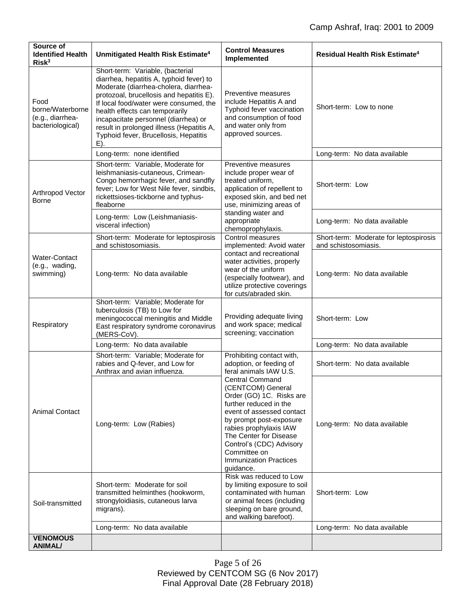| Source of<br><b>Identified Health</b><br>Risk <sup>3</sup>       | Unmitigated Health Risk Estimate <sup>4</sup>                                                                                                                                                                                                                                                                                                                                      | <b>Control Measures</b><br>Implemented                                                                                                                                                                                                                                                                  | <b>Residual Health Risk Estimate<sup>4</sup></b>               |
|------------------------------------------------------------------|------------------------------------------------------------------------------------------------------------------------------------------------------------------------------------------------------------------------------------------------------------------------------------------------------------------------------------------------------------------------------------|---------------------------------------------------------------------------------------------------------------------------------------------------------------------------------------------------------------------------------------------------------------------------------------------------------|----------------------------------------------------------------|
| Food<br>borne/Waterborne<br>(e.g., diarrhea-<br>bacteriological) | Short-term: Variable, (bacterial<br>diarrhea, hepatitis A, typhoid fever) to<br>Moderate (diarrhea-cholera, diarrhea-<br>protozoal, brucellosis and hepatitis E).<br>If local food/water were consumed, the<br>health effects can temporarily<br>incapacitate personnel (diarrhea) or<br>result in prolonged illness (Hepatitis A,<br>Typhoid fever, Brucellosis, Hepatitis<br>Е). | Preventive measures<br>include Hepatitis A and<br>Typhoid fever vaccination<br>and consumption of food<br>and water only from<br>approved sources.                                                                                                                                                      | Short-term: Low to none                                        |
|                                                                  | Long-term: none identified                                                                                                                                                                                                                                                                                                                                                         |                                                                                                                                                                                                                                                                                                         | Long-term: No data available                                   |
| Arthropod Vector<br><b>Borne</b>                                 | Short-term: Variable, Moderate for<br>leishmaniasis-cutaneous, Crimean-<br>Congo hemorrhagic fever, and sandfly<br>fever; Low for West Nile fever, sindbis,<br>rickettsioses-tickborne and typhus-<br>fleaborne                                                                                                                                                                    | Preventive measures<br>include proper wear of<br>treated uniform,<br>application of repellent to<br>exposed skin, and bed net<br>use, minimizing areas of<br>standing water and<br>appropriate<br>chemoprophylaxis.                                                                                     | Short-term: Low                                                |
|                                                                  | Long-term: Low (Leishmaniasis-<br>visceral infection)                                                                                                                                                                                                                                                                                                                              |                                                                                                                                                                                                                                                                                                         | Long-term: No data available                                   |
|                                                                  | Short-term: Moderate for leptospirosis<br>and schistosomiasis.                                                                                                                                                                                                                                                                                                                     | Control measures<br>implemented: Avoid water                                                                                                                                                                                                                                                            | Short-term: Moderate for leptospirosis<br>and schistosomiasis. |
| <b>Water-Contact</b><br>(e.g., wading,<br>swimming)              | Long-term: No data available                                                                                                                                                                                                                                                                                                                                                       | contact and recreational<br>water activities, properly<br>wear of the uniform<br>(especially footwear), and<br>utilize protective coverings<br>for cuts/abraded skin.                                                                                                                                   | Long-term: No data available                                   |
| Respiratory                                                      | Short-term: Variable; Moderate for<br>tuberculosis (TB) to Low for<br>meningococcal meningitis and Middle<br>East respiratory syndrome coronavirus<br>(MERS-CoV).                                                                                                                                                                                                                  | Providing adequate living<br>and work space; medical<br>screening; vaccination                                                                                                                                                                                                                          | Short-term: Low                                                |
|                                                                  | Long-term: No data available                                                                                                                                                                                                                                                                                                                                                       |                                                                                                                                                                                                                                                                                                         | Long-term: No data available                                   |
| <b>Animal Contact</b>                                            | Short-term: Variable; Moderate for<br>rabies and Q-fever, and Low for<br>Anthrax and avian influenza.                                                                                                                                                                                                                                                                              | Prohibiting contact with,<br>adoption, or feeding of<br>feral animals IAW U.S.                                                                                                                                                                                                                          | Short-term: No data available                                  |
|                                                                  | Long-term: Low (Rabies)                                                                                                                                                                                                                                                                                                                                                            | <b>Central Command</b><br>(CENTCOM) General<br>Order (GO) 1C. Risks are<br>further reduced in the<br>event of assessed contact<br>by prompt post-exposure<br>rabies prophylaxis IAW<br>The Center for Disease<br>Control's (CDC) Advisory<br>Committee on<br><b>Immunization Practices</b><br>guidance. | Long-term: No data available                                   |
| Soil-transmitted                                                 | Short-term: Moderate for soil<br>transmitted helminthes (hookworm,<br>strongyloidiasis, cutaneous larva<br>migrans).                                                                                                                                                                                                                                                               | Risk was reduced to Low<br>by limiting exposure to soil<br>contaminated with human<br>or animal feces (including<br>sleeping on bare ground,<br>and walking barefoot).                                                                                                                                  | Short-term: Low                                                |
|                                                                  | Long-term: No data available                                                                                                                                                                                                                                                                                                                                                       |                                                                                                                                                                                                                                                                                                         | Long-term: No data available                                   |
| <b>VENOMOUS</b><br><b>ANIMAL/</b>                                |                                                                                                                                                                                                                                                                                                                                                                                    |                                                                                                                                                                                                                                                                                                         |                                                                |

Page 5 of 26 Reviewed by CENTCOM SG (6 Nov 2017) Final Approval Date (28 February 2018)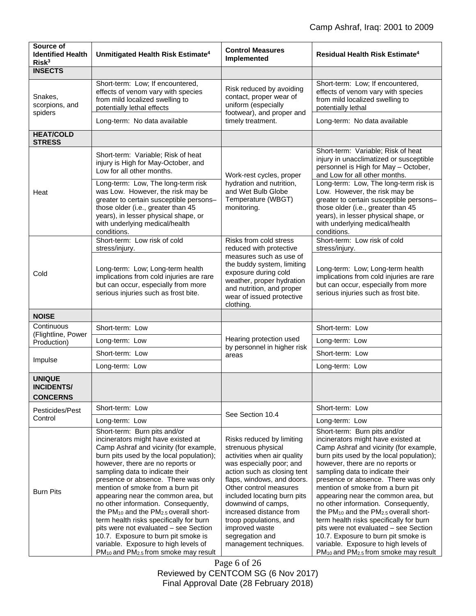| Source of<br><b>Identified Health</b><br>Risk <sup>3</sup> | Unmitigated Health Risk Estimate <sup>4</sup>                                                                                                                                                                                                                                                                                                                                                                                                                                                        | <b>Control Measures</b><br>Implemented                                                                                                                                                                                                                                                                      | <b>Residual Health Risk Estimate<sup>4</sup></b>                                                                                                                                                                                                                                                                                                                                                                                                                                                     |
|------------------------------------------------------------|------------------------------------------------------------------------------------------------------------------------------------------------------------------------------------------------------------------------------------------------------------------------------------------------------------------------------------------------------------------------------------------------------------------------------------------------------------------------------------------------------|-------------------------------------------------------------------------------------------------------------------------------------------------------------------------------------------------------------------------------------------------------------------------------------------------------------|------------------------------------------------------------------------------------------------------------------------------------------------------------------------------------------------------------------------------------------------------------------------------------------------------------------------------------------------------------------------------------------------------------------------------------------------------------------------------------------------------|
| <b>INSECTS</b>                                             |                                                                                                                                                                                                                                                                                                                                                                                                                                                                                                      |                                                                                                                                                                                                                                                                                                             |                                                                                                                                                                                                                                                                                                                                                                                                                                                                                                      |
| Snakes,<br>scorpions, and<br>spiders                       | Short-term: Low; If encountered,<br>effects of venom vary with species<br>from mild localized swelling to<br>potentially lethal effects                                                                                                                                                                                                                                                                                                                                                              | Risk reduced by avoiding<br>contact, proper wear of<br>uniform (especially<br>footwear), and proper and<br>timely treatment.                                                                                                                                                                                | Short-term: Low; If encountered,<br>effects of venom vary with species<br>from mild localized swelling to<br>potentially lethal                                                                                                                                                                                                                                                                                                                                                                      |
|                                                            | Long-term: No data available                                                                                                                                                                                                                                                                                                                                                                                                                                                                         |                                                                                                                                                                                                                                                                                                             | Long-term: No data available                                                                                                                                                                                                                                                                                                                                                                                                                                                                         |
| <b>HEAT/COLD</b><br><b>STRESS</b>                          |                                                                                                                                                                                                                                                                                                                                                                                                                                                                                                      |                                                                                                                                                                                                                                                                                                             |                                                                                                                                                                                                                                                                                                                                                                                                                                                                                                      |
| Heat                                                       | Short-term: Variable; Risk of heat<br>injury is High for May-October, and<br>Low for all other months.                                                                                                                                                                                                                                                                                                                                                                                               | Work-rest cycles, proper<br>hydration and nutrition,<br>and Wet Bulb Globe<br>Temperature (WBGT)<br>monitoring.                                                                                                                                                                                             | Short-term: Variable; Risk of heat<br>injury in unacclimatized or susceptible<br>personnel is High for May - October,<br>and Low for all other months.                                                                                                                                                                                                                                                                                                                                               |
|                                                            | Long-term: Low, The long-term risk<br>was Low. However, the risk may be<br>greater to certain susceptible persons-<br>those older (i.e., greater than 45<br>years), in lesser physical shape, or<br>with underlying medical/health<br>conditions.                                                                                                                                                                                                                                                    |                                                                                                                                                                                                                                                                                                             | Long-term: Low, The long-term risk is<br>Low. However, the risk may be<br>greater to certain susceptible persons-<br>those older (i.e., greater than 45<br>years), in lesser physical shape, or<br>with underlying medical/health<br>conditions.                                                                                                                                                                                                                                                     |
|                                                            | Short-term: Low risk of cold<br>stress/injury.                                                                                                                                                                                                                                                                                                                                                                                                                                                       | Risks from cold stress<br>reduced with protective                                                                                                                                                                                                                                                           | Short-term: Low risk of cold<br>stress/injury.                                                                                                                                                                                                                                                                                                                                                                                                                                                       |
| Cold                                                       | Long-term: Low; Long-term health<br>implications from cold injuries are rare<br>but can occur, especially from more<br>serious injuries such as frost bite.                                                                                                                                                                                                                                                                                                                                          | measures such as use of<br>the buddy system, limiting<br>exposure during cold<br>weather, proper hydration<br>and nutrition, and proper<br>wear of issued protective<br>clothing.                                                                                                                           | Long-term: Low; Long-term health<br>implications from cold injuries are rare<br>but can occur, especially from more<br>serious injuries such as frost bite.                                                                                                                                                                                                                                                                                                                                          |
| <b>NOISE</b>                                               |                                                                                                                                                                                                                                                                                                                                                                                                                                                                                                      |                                                                                                                                                                                                                                                                                                             |                                                                                                                                                                                                                                                                                                                                                                                                                                                                                                      |
| Continuous                                                 | Short-term: Low                                                                                                                                                                                                                                                                                                                                                                                                                                                                                      |                                                                                                                                                                                                                                                                                                             | Short-term: Low                                                                                                                                                                                                                                                                                                                                                                                                                                                                                      |
| (Flightline, Power<br>Production)                          | Long-term: Low                                                                                                                                                                                                                                                                                                                                                                                                                                                                                       | Hearing protection used<br>by personnel in higher risk                                                                                                                                                                                                                                                      | Long-term: Low                                                                                                                                                                                                                                                                                                                                                                                                                                                                                       |
| Impulse                                                    | Short-term: Low                                                                                                                                                                                                                                                                                                                                                                                                                                                                                      | areas                                                                                                                                                                                                                                                                                                       | Short-term: Low                                                                                                                                                                                                                                                                                                                                                                                                                                                                                      |
|                                                            | Long-term: Low                                                                                                                                                                                                                                                                                                                                                                                                                                                                                       |                                                                                                                                                                                                                                                                                                             | Long-term: Low                                                                                                                                                                                                                                                                                                                                                                                                                                                                                       |
| <b>UNIQUE</b><br><b>INCIDENTS/</b><br><b>CONCERNS</b>      |                                                                                                                                                                                                                                                                                                                                                                                                                                                                                                      |                                                                                                                                                                                                                                                                                                             |                                                                                                                                                                                                                                                                                                                                                                                                                                                                                                      |
| Pesticides/Pest                                            | Short-term: Low                                                                                                                                                                                                                                                                                                                                                                                                                                                                                      | See Section 10.4                                                                                                                                                                                                                                                                                            | Short-term: Low                                                                                                                                                                                                                                                                                                                                                                                                                                                                                      |
| Control                                                    | Long-term: Low                                                                                                                                                                                                                                                                                                                                                                                                                                                                                       |                                                                                                                                                                                                                                                                                                             | Long-term: Low                                                                                                                                                                                                                                                                                                                                                                                                                                                                                       |
| <b>Burn Pits</b>                                           | Short-term: Burn pits and/or<br>incinerators might have existed at<br>Camp Ashraf and vicinity (for example,<br>burn pits used by the local population);<br>however, there are no reports or<br>sampling data to indicate their<br>presence or absence. There was only<br>mention of smoke from a burn pit<br>appearing near the common area, but<br>no other information. Consequently,<br>the PM <sub>10</sub> and the PM <sub>2.5</sub> overall short-<br>term health risks specifically for burn | Risks reduced by limiting<br>strenuous physical<br>activities when air quality<br>was especially poor; and<br>action such as closing tent<br>flaps, windows, and doors.<br>Other control measures<br>included locating burn pits<br>downwind of camps,<br>increased distance from<br>troop populations, and | Short-term: Burn pits and/or<br>incinerators might have existed at<br>Camp Ashraf and vicinity (for example,<br>burn pits used by the local population);<br>however, there are no reports or<br>sampling data to indicate their<br>presence or absence. There was only<br>mention of smoke from a burn pit<br>appearing near the common area, but<br>no other information. Consequently,<br>the PM <sub>10</sub> and the PM <sub>2.5</sub> overall short-<br>term health risks specifically for burn |
|                                                            | pits were not evaluated - see Section<br>10.7. Exposure to burn pit smoke is<br>variable. Exposure to high levels of<br>PM <sub>10</sub> and PM <sub>2.5</sub> from smoke may result                                                                                                                                                                                                                                                                                                                 | improved waste<br>segregation and<br>management techniques.                                                                                                                                                                                                                                                 | pits were not evaluated - see Section<br>10.7. Exposure to burn pit smoke is<br>variable. Exposure to high levels of<br>PM <sub>10</sub> and PM <sub>2.5</sub> from smoke may result                                                                                                                                                                                                                                                                                                                 |

Page 6 of 26 Reviewed by CENTCOM SG (6 Nov 2017) Final Approval Date (28 February 2018)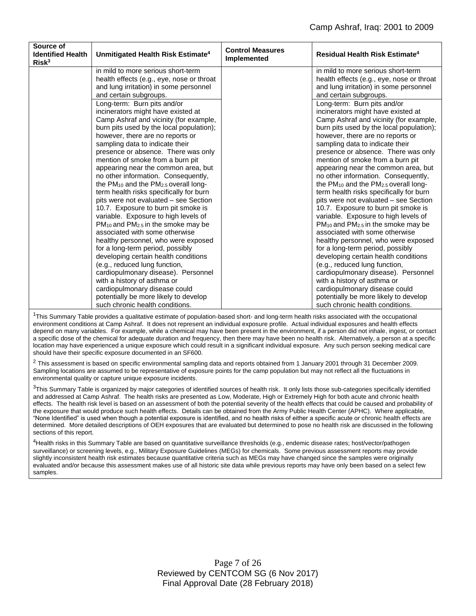| Source of<br><b>Identified Health</b><br>Risk <sup>3</sup> | Unmitigated Health Risk Estimate <sup>4</sup>              | <b>Control Measures</b><br>Implemented | <b>Residual Health Risk Estimate<sup>4</sup></b> |
|------------------------------------------------------------|------------------------------------------------------------|----------------------------------------|--------------------------------------------------|
|                                                            | in mild to more serious short-term                         |                                        | in mild to more serious short-term               |
|                                                            | health effects (e.g., eye, nose or throat                  |                                        | health effects (e.g., eye, nose or throat        |
|                                                            | and lung irritation) in some personnel                     |                                        | and lung irritation) in some personnel           |
|                                                            | and certain subgroups.                                     |                                        | and certain subgroups.                           |
|                                                            | Long-term: Burn pits and/or                                |                                        | Long-term: Burn pits and/or                      |
|                                                            | incinerators might have existed at                         |                                        | incinerators might have existed at               |
|                                                            | Camp Ashraf and vicinity (for example,                     |                                        | Camp Ashraf and vicinity (for example,           |
|                                                            | burn pits used by the local population);                   |                                        | burn pits used by the local population);         |
|                                                            | however, there are no reports or                           |                                        | however, there are no reports or                 |
|                                                            | sampling data to indicate their                            |                                        | sampling data to indicate their                  |
|                                                            | presence or absence. There was only                        |                                        | presence or absence. There was only              |
|                                                            | mention of smoke from a burn pit                           |                                        | mention of smoke from a burn pit                 |
|                                                            | appearing near the common area, but                        |                                        | appearing near the common area, but              |
|                                                            | no other information. Consequently,                        |                                        | no other information. Consequently,              |
|                                                            | the $PM_{10}$ and the $PM_{2.5}$ overall long-             |                                        | the $PM_{10}$ and the $PM_{2.5}$ overall long-   |
|                                                            | term health risks specifically for burn                    |                                        | term health risks specifically for burn          |
|                                                            | pits were not evaluated – see Section                      |                                        | pits were not evaluated - see Section            |
|                                                            | 10.7. Exposure to burn pit smoke is                        |                                        | 10.7. Exposure to burn pit smoke is              |
|                                                            | variable. Exposure to high levels of                       |                                        | variable. Exposure to high levels of             |
|                                                            | PM <sub>10</sub> and PM <sub>2.5</sub> in the smoke may be |                                        | $PM_{10}$ and $PM_{2.5}$ in the smoke may be     |
|                                                            | associated with some otherwise                             |                                        | associated with some otherwise                   |
|                                                            | healthy personnel, who were exposed                        |                                        | healthy personnel, who were exposed              |
|                                                            | for a long-term period, possibly                           |                                        | for a long-term period, possibly                 |
|                                                            | developing certain health conditions                       |                                        | developing certain health conditions             |
|                                                            | (e.g., reduced lung function,                              |                                        | (e.g., reduced lung function,                    |
|                                                            | cardiopulmonary disease). Personnel                        |                                        | cardiopulmonary disease). Personnel              |
|                                                            | with a history of asthma or                                |                                        | with a history of asthma or                      |
|                                                            | cardiopulmonary disease could                              |                                        | cardiopulmonary disease could                    |
|                                                            | potentially be more likely to develop                      |                                        | potentially be more likely to develop            |
|                                                            | such chronic health conditions.                            |                                        | such chronic health conditions.                  |

 $1$ This Summary Table provides a qualitative estimate of population-based short- and long-term health risks associated with the occupational environment conditions at Camp Ashraf. It does not represent an individual exposure profile. Actual individual exposures and health effects depend on many variables. For example, while a chemical may have been present in the environment, if a person did not inhale, ingest, or contact a specific dose of the chemical for adequate duration and frequency, then there may have been no health risk. Alternatively, a person at a specific location may have experienced a unique exposure which could result in a significant individual exposure. Any such person seeking medical care should have their specific exposure documented in an SF600.

<sup>2</sup> This assessment is based on specific environmental sampling data and reports obtained from 1 January 2001 through 31 December 2009. Sampling locations are assumed to be representative of exposure points for the camp population but may not reflect all the fluctuations in environmental quality or capture unique exposure incidents.

 $3$ This Summary Table is organized by major categories of identified sources of health risk. It only lists those sub-categories specifically identified and addressed at Camp Ashraf. The health risks are presented as Low, Moderate, High or Extremely High for both acute and chronic health effects. The health risk level is based on an assessment of both the potential severity of the health effects that could be caused and probability of the exposure that would produce such health effects. Details can be obtained from the Army Public Health Center (APHC). Where applicable, "None Identified" is used when though a potential exposure is identified, and no health risks of either a specific acute or chronic health effects are determined. More detailed descriptions of OEH exposures that are evaluated but determined to pose no health risk are discussed in the following sections of this report.

<sup>4</sup>Health risks in this Summary Table are based on quantitative surveillance thresholds (e.g., endemic disease rates; host/vector/pathogen surveillance) or screening levels, e.g., Military Exposure Guidelines (MEGs) for chemicals*.* Some previous assessment reports may provide slightly inconsistent health risk estimates because quantitative criteria such as MEGs may have changed since the samples were originally evaluated and/or because this assessment makes use of all historic site data while previous reports may have only been based on a select few samples.

> Page 7 of 26 Reviewed by CENTCOM SG (6 Nov 2017) Final Approval Date (28 February 2018)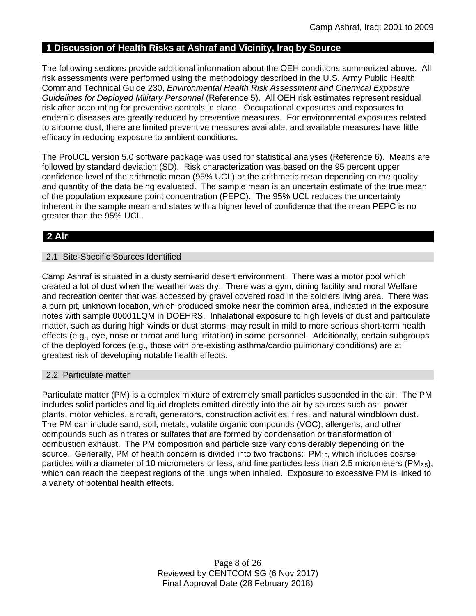## **1 Discussion of Health Risks at Ashraf and Vicinity, Iraq by Source**

The following sections provide additional information about the OEH conditions summarized above. All risk assessments were performed using the methodology described in the U.S. Army Public Health Command Technical Guide 230, *Environmental Health Risk Assessment and Chemical Exposure Guidelines for Deployed Military Personnel* (Reference 5). All OEH risk estimates represent residual risk after accounting for preventive controls in place. Occupational exposures and exposures to endemic diseases are greatly reduced by preventive measures. For environmental exposures related to airborne dust, there are limited preventive measures available, and available measures have little efficacy in reducing exposure to ambient conditions.

The ProUCL version 5.0 software package was used for statistical analyses (Reference 6). Means are followed by standard deviation (SD). Risk characterization was based on the 95 percent upper confidence level of the arithmetic mean (95% UCL) or the arithmetic mean depending on the quality and quantity of the data being evaluated. The sample mean is an uncertain estimate of the true mean of the population exposure point concentration (PEPC). The 95% UCL reduces the uncertainty inherent in the sample mean and states with a higher level of confidence that the mean PEPC is no greater than the 95% UCL.

## **2 Air**

### 2.1 Site-Specific Sources Identified

Camp Ashraf is situated in a dusty semi-arid desert environment. There was a motor pool which created a lot of dust when the weather was dry. There was a gym, dining facility and moral Welfare and recreation center that was accessed by gravel covered road in the soldiers living area. There was a burn pit, unknown location, which produced smoke near the common area, indicated in the exposure notes with sample 00001LQM in DOEHRS. Inhalational exposure to high levels of dust and particulate matter, such as during high winds or dust storms, may result in mild to more serious short-term health effects (e.g., eye, nose or throat and lung irritation) in some personnel. Additionally, certain subgroups of the deployed forces (e.g., those with pre-existing asthma/cardio pulmonary conditions) are at greatest risk of developing notable health effects.

### 2.2 Particulate matter

Particulate matter (PM) is a complex mixture of extremely small particles suspended in the air. The PM includes solid particles and liquid droplets emitted directly into the air by sources such as: power plants, motor vehicles, aircraft, generators, construction activities, fires, and natural windblown dust. The PM can include sand, soil, metals, volatile organic compounds (VOC), allergens, and other compounds such as nitrates or sulfates that are formed by condensation or transformation of combustion exhaust. The PM composition and particle size vary considerably depending on the source. Generally, PM of health concern is divided into two fractions: PM<sub>10</sub>, which includes coarse particles with a diameter of 10 micrometers or less, and fine particles less than 2.5 micrometers (PM<sub>2.5</sub>), which can reach the deepest regions of the lungs when inhaled. Exposure to excessive PM is linked to a variety of potential health effects.

> Page 8 of 26 Reviewed by CENTCOM SG (6 Nov 2017) Final Approval Date (28 February 2018)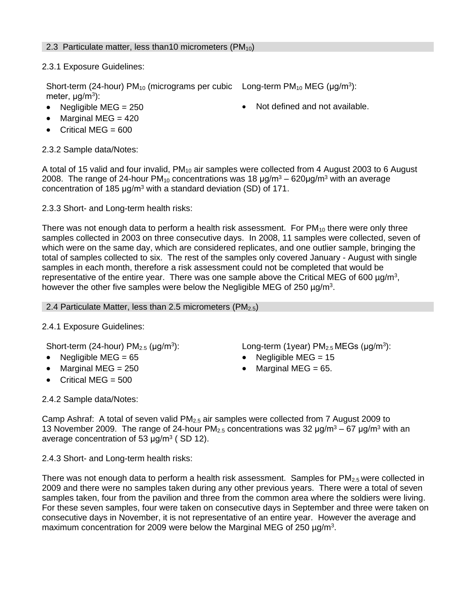## 2.3 Particulate matter, less than 10 micrometers ( $PM_{10}$ )

2.3.1 Exposure Guidelines:

Short-term (24-hour)  $PM_{10}$  (micrograms per cubic Long-term  $PM_{10}$  MEG ( $\mu$ g/m<sup>3</sup>): meter, μg/m<sup>3</sup>):

- 
- Negligible MEG = 250 **•** Not defined and not available.
- $\bullet$  Marginal MEG = 420
- $\bullet$  Critical MEG = 600

## 2.3.2 Sample data/Notes:

A total of 15 valid and four invalid, PM<sub>10</sub> air samples were collected from 4 August 2003 to 6 August 2008. The range of 24-hour PM<sub>10</sub> concentrations was 18  $\mu$ g/m<sup>3</sup> – 620 $\mu$ g/m<sup>3</sup> with an average concentration of 185 μg/m<sup>3</sup> with a standard deviation (SD) of 171.

2.3.3 Short- and Long-term health risks:

There was not enough data to perform a health risk assessment. For  $PM_{10}$  there were only three samples collected in 2003 on three consecutive days. In 2008, 11 samples were collected, seven of which were on the same day, which are considered replicates, and one outlier sample, bringing the total of samples collected to six. The rest of the samples only covered January - August with single samples in each month, therefore a risk assessment could not be completed that would be representative of the entire year. There was one sample above the Critical MEG of 600  $\mu$ g/m<sup>3</sup>, however the other five samples were below the Negligible MEG of 250  $\mu$ g/m<sup>3</sup>.

2.4 Particulate Matter, less than 2.5 micrometers ( $PM_{2.5}$ )

## 2.4.1 Exposure Guidelines:

Short-term (24-hour)  $PM<sub>2.5</sub>$  (µg/m<sup>3</sup>):

- Negligible MEG = 65 Negligible MEG = 15
- Marginal MEG =  $250$  . Marginal MEG =  $65$ .
- $\bullet$  Critical MEG = 500

2.4.2 Sample data/Notes:

): Long-term (1year)  $PM_{2.5}$ MEGs ( $\mu$ g/m<sup>3</sup>):

- 
- 

Camp Ashraf: A total of seven valid PM<sub>2.5</sub> air samples were collected from 7 August 2009 to 13 November 2009. The range of 24-hour  $PM_{2.5}$  concentrations was 32  $\mu$ g/m<sup>3</sup> – 67  $\mu$ g/m<sup>3</sup> with an average concentration of 53  $\mu$ g/m<sup>3</sup> (SD 12).

2.4.3 Short- and Long-term health risks:

There was not enough data to perform a health risk assessment. Samples for  $PM_{2.5}$  were collected in 2009 and there were no samples taken during any other previous years. There were a total of seven samples taken, four from the pavilion and three from the common area where the soldiers were living. For these seven samples, four were taken on consecutive days in September and three were taken on consecutive days in November, it is not representative of an entire year. However the average and maximum concentration for 2009 were below the Marginal MEG of 250  $\mu$ g/m<sup>3</sup>.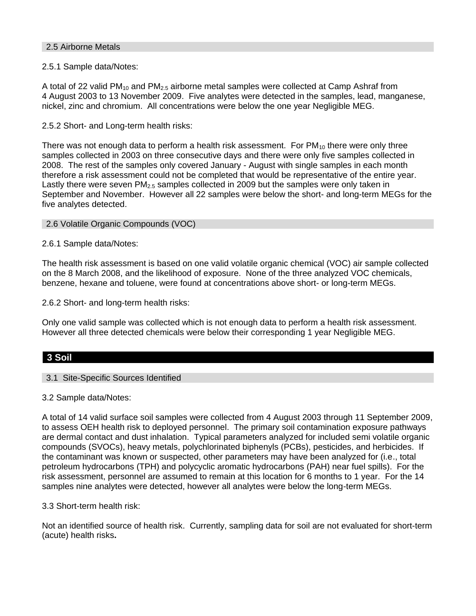### 2.5 Airborne Metals

### 2.5.1 Sample data/Notes:

A total of 22 valid  $PM_{10}$  and  $PM_{2.5}$  airborne metal samples were collected at Camp Ashraf from 4 August 2003 to 13 November 2009. Five analytes were detected in the samples, lead, manganese, nickel, zinc and chromium. All concentrations were below the one year Negligible MEG.

### 2.5.2 Short- and Long-term health risks:

There was not enough data to perform a health risk assessment. For  $PM_{10}$  there were only three samples collected in 2003 on three consecutive days and there were only five samples collected in 2008. The rest of the samples only covered January - August with single samples in each month therefore a risk assessment could not be completed that would be representative of the entire year. Lastly there were seven  $PM<sub>2.5</sub>$  samples collected in 2009 but the samples were only taken in September and November. However all 22 samples were below the short- and long-term MEGs for the five analytes detected.

### 2.6 Volatile Organic Compounds (VOC)

2.6.1 Sample data/Notes:

The health risk assessment is based on one valid volatile organic chemical (VOC) air sample collected on the 8 March 2008, and the likelihood of exposure. None of the three analyzed VOC chemicals, benzene, hexane and toluene, were found at concentrations above short- or long-term MEGs.

2.6.2 Short- and long-term health risks:

Only one valid sample was collected which is not enough data to perform a health risk assessment. However all three detected chemicals were below their corresponding 1 year Negligible MEG.

### **3 Soil**

### 3.1 Site-Specific Sources Identified

3.2 Sample data/Notes:

A total of 14 valid surface soil samples were collected from 4 August 2003 through 11 September 2009, to assess OEH health risk to deployed personnel. The primary soil contamination exposure pathways are dermal contact and dust inhalation. Typical parameters analyzed for included semi volatile organic compounds (SVOCs), heavy metals, polychlorinated biphenyls (PCBs), pesticides, and herbicides. If the contaminant was known or suspected, other parameters may have been analyzed for (i.e., total petroleum hydrocarbons (TPH) and polycyclic aromatic hydrocarbons (PAH) near fuel spills). For the risk assessment, personnel are assumed to remain at this location for 6 months to 1 year. For the 14 samples nine analytes were detected, however all analytes were below the long-term MEGs.

3.3 Short-term health risk:

Not an identified source of health risk. Currently, sampling data for soil are not evaluated for short-term (acute) health risks**.**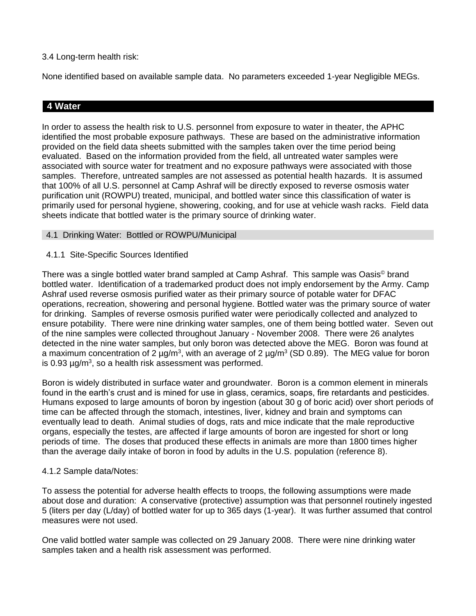### 3.4 Long-term health risk:

None identified based on available sample data. No parameters exceeded 1-year Negligible MEGs.

## **4 Water**

In order to assess the health risk to U.S. personnel from exposure to water in theater, the APHC identified the most probable exposure pathways. These are based on the administrative information provided on the field data sheets submitted with the samples taken over the time period being evaluated. Based on the information provided from the field, all untreated water samples were associated with source water for treatment and no exposure pathways were associated with those samples. Therefore, untreated samples are not assessed as potential health hazards. It is assumed that 100% of all U.S. personnel at Camp Ashraf will be directly exposed to reverse osmosis water purification unit (ROWPU) treated, municipal, and bottled water since this classification of water is primarily used for personal hygiene, showering, cooking, and for use at vehicle wash racks. Field data sheets indicate that bottled water is the primary source of drinking water.

### 4.1 Drinking Water: Bottled or ROWPU/Municipal

### 4.1.1 Site-Specific Sources Identified

There was a single bottled water brand sampled at Camp Ashraf. This sample was Oasis© brand bottled water. Identification of a trademarked product does not imply endorsement by the Army. Camp Ashraf used reverse osmosis purified water as their primary source of potable water for DFAC operations, recreation, showering and personal hygiene. Bottled water was the primary source of water for drinking. Samples of reverse osmosis purified water were periodically collected and analyzed to ensure potability. There were nine drinking water samples, one of them being bottled water. Seven out of the nine samples were collected throughout January - November 2008. There were 26 analytes detected in the nine water samples, but only boron was detected above the MEG. Boron was found at a maximum concentration of 2  $\mu$ g/m<sup>3</sup>, with an average of 2  $\mu$ g/m<sup>3</sup> (SD 0.89). The MEG value for boron is 0.93  $\mu$ g/m<sup>3</sup>, so a health risk assessment was performed.

Boron is widely distributed in surface water and groundwater. Boron is a common element in minerals found in the earth's crust and is mined for use in glass, ceramics, soaps, fire retardants and pesticides. Humans exposed to large amounts of boron by ingestion (about 30 g of boric acid) over short periods of time can be affected through the stomach, intestines, liver, kidney and brain and symptoms can eventually lead to death. Animal studies of dogs, rats and mice indicate that the male reproductive organs, especially the testes, are affected if large amounts of boron are ingested for short or long periods of time. The doses that produced these effects in animals are more than 1800 times higher than the average daily intake of boron in food by adults in the U.S. population (reference 8).

### 4.1.2 Sample data/Notes:

To assess the potential for adverse health effects to troops, the following assumptions were made about dose and duration: A conservative (protective) assumption was that personnel routinely ingested 5 (liters per day (L/day) of bottled water for up to 365 days (1-year). It was further assumed that control measures were not used.

One valid bottled water sample was collected on 29 January 2008. There were nine drinking water samples taken and a health risk assessment was performed.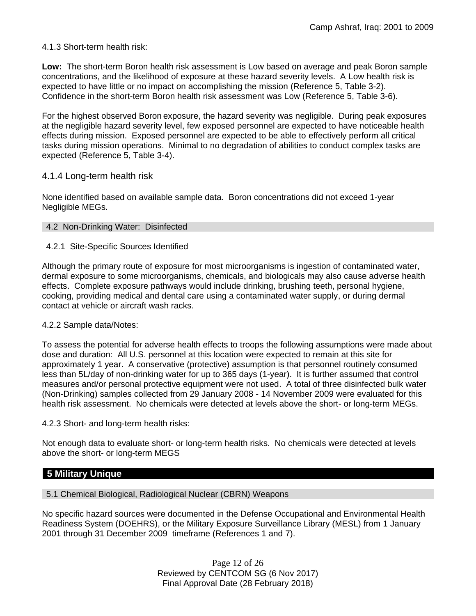### 4.1.3 Short-term health risk:

**Low:** The short-term Boron health risk assessment is Low based on average and peak Boron sample concentrations, and the likelihood of exposure at these hazard severity levels. A Low health risk is expected to have little or no impact on accomplishing the mission (Reference 5, Table 3-2). Confidence in the short-term Boron health risk assessment was Low (Reference 5, Table 3-6).

For the highest observed Boron exposure, the hazard severity was negligible. During peak exposures at the negligible hazard severity level, few exposed personnel are expected to have noticeable health effects during mission. Exposed personnel are expected to be able to effectively perform all critical tasks during mission operations. Minimal to no degradation of abilities to conduct complex tasks are expected (Reference 5, Table 3-4).

### 4.1.4 Long-term health risk

None identified based on available sample data.Boron concentrations did not exceed 1-year Negligible MEGs.

### 4.2 Non-Drinking Water: Disinfected

### 4.2.1 Site-Specific Sources Identified

Although the primary route of exposure for most microorganisms is ingestion of contaminated water, dermal exposure to some microorganisms, chemicals, and biologicals may also cause adverse health effects. Complete exposure pathways would include drinking, brushing teeth, personal hygiene, cooking, providing medical and dental care using a contaminated water supply, or during dermal contact at vehicle or aircraft wash racks.

### 4.2.2 Sample data/Notes:

To assess the potential for adverse health effects to troops the following assumptions were made about dose and duration: All U.S. personnel at this location were expected to remain at this site for approximately 1 year. A conservative (protective) assumption is that personnel routinely consumed less than 5L/day of non-drinking water for up to 365 days (1-year). It is further assumed that control measures and/or personal protective equipment were not used. A total of three disinfected bulk water (Non-Drinking) samples collected from 29 January 2008 - 14 November 2009 were evaluated for this health risk assessment. No chemicals were detected at levels above the short- or long-term MEGs.

4.2.3 Short- and long-term health risks:

Not enough data to evaluate short- or long-term health risks. No chemicals were detected at levels above the short- or long-term MEGS

### **5 Military Unique**

5.1 Chemical Biological, Radiological Nuclear (CBRN) Weapons

No specific hazard sources were documented in the Defense Occupational and Environmental Health Readiness System (DOEHRS), or the Military Exposure Surveillance Library (MESL) from 1 January 2001 through 31 December 2009 timeframe (References 1 and 7).

> Page 12 of 26 Reviewed by CENTCOM SG (6 Nov 2017) Final Approval Date (28 February 2018)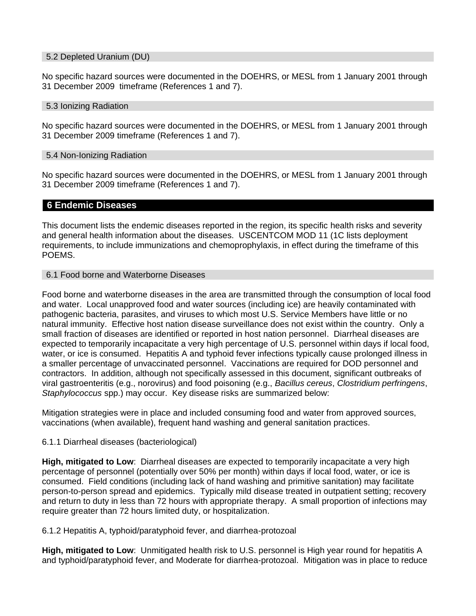#### 5.2 Depleted Uranium (DU)

No specific hazard sources were documented in the DOEHRS, or MESL from 1 January 2001 through 31 December 2009 timeframe (References 1 and 7).

#### 5.3 Ionizing Radiation

No specific hazard sources were documented in the DOEHRS, or MESL from 1 January 2001 through 31 December 2009 timeframe (References 1 and 7).

#### 5.4 Non-Ionizing Radiation

No specific hazard sources were documented in the DOEHRS, or MESL from 1 January 2001 through 31 December 2009 timeframe (References 1 and 7).

### **6 Endemic Diseases**

This document lists the endemic diseases reported in the region, its specific health risks and severity and general health information about the diseases. USCENTCOM MOD 11 (1C lists deployment requirements, to include immunizations and chemoprophylaxis, in effect during the timeframe of this POEMS.

#### 6.1 Food borne and Waterborne Diseases

Food borne and waterborne diseases in the area are transmitted through the consumption of local food and water. Local unapproved food and water sources (including ice) are heavily contaminated with pathogenic bacteria, parasites, and viruses to which most U.S. Service Members have little or no natural immunity. Effective host nation disease surveillance does not exist within the country. Only a small fraction of diseases are identified or reported in host nation personnel. Diarrheal diseases are expected to temporarily incapacitate a very high percentage of U.S. personnel within days if local food, water, or ice is consumed. Hepatitis A and typhoid fever infections typically cause prolonged illness in a smaller percentage of unvaccinated personnel. Vaccinations are required for DOD personnel and contractors. In addition, although not specifically assessed in this document, significant outbreaks of viral gastroenteritis (e.g., norovirus) and food poisoning (e.g., *Bacillus cereus*, *Clostridium perfringens*, *Staphylococcus* spp.) may occur. Key disease risks are summarized below:

Mitigation strategies were in place and included consuming food and water from approved sources, vaccinations (when available), frequent hand washing and general sanitation practices.

### 6.1.1 Diarrheal diseases (bacteriological)

**High, mitigated to Low**: Diarrheal diseases are expected to temporarily incapacitate a very high percentage of personnel (potentially over 50% per month) within days if local food, water, or ice is consumed. Field conditions (including lack of hand washing and primitive sanitation) may facilitate person-to-person spread and epidemics. Typically mild disease treated in outpatient setting; recovery and return to duty in less than 72 hours with appropriate therapy. A small proportion of infections may require greater than 72 hours limited duty, or hospitalization.

6.1.2 Hepatitis A, typhoid/paratyphoid fever, and diarrhea-protozoal

**High, mitigated to Low**: Unmitigated health risk to U.S. personnel is High year round for hepatitis A and typhoid/paratyphoid fever, and Moderate for diarrhea-protozoal. Mitigation was in place to reduce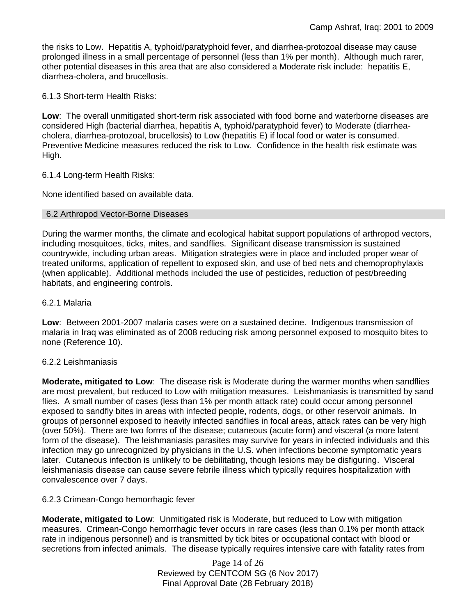the risks to Low. Hepatitis A, typhoid/paratyphoid fever, and diarrhea-protozoal disease may cause prolonged illness in a small percentage of personnel (less than 1% per month). Although much rarer, other potential diseases in this area that are also considered a Moderate risk include: hepatitis E, diarrhea-cholera, and brucellosis.

6.1.3 Short-term Health Risks:

**Low**: The overall unmitigated short-term risk associated with food borne and waterborne diseases are considered High (bacterial diarrhea, hepatitis A, typhoid/paratyphoid fever) to Moderate (diarrheacholera, diarrhea-protozoal, brucellosis) to Low (hepatitis E) if local food or water is consumed. Preventive Medicine measures reduced the risk to Low. Confidence in the health risk estimate was High.

### 6.1.4 Long-term Health Risks:

None identified based on available data.

#### 6.2 Arthropod Vector-Borne Diseases

During the warmer months, the climate and ecological habitat support populations of arthropod vectors, including mosquitoes, ticks, mites, and sandflies. Significant disease transmission is sustained countrywide, including urban areas. Mitigation strategies were in place and included proper wear of treated uniforms, application of repellent to exposed skin, and use of bed nets and chemoprophylaxis (when applicable). Additional methods included the use of pesticides, reduction of pest/breeding habitats, and engineering controls.

#### 6.2.1 Malaria

**Low**: Between 2001-2007 malaria cases were on a sustained decine. Indigenous transmission of malaria in Iraq was eliminated as of 2008 reducing risk among personnel exposed to mosquito bites to none (Reference 10).

### 6.2.2 Leishmaniasis

**Moderate, mitigated to Low**: The disease risk is Moderate during the warmer months when sandflies are most prevalent, but reduced to Low with mitigation measures. Leishmaniasis is transmitted by sand flies. A small number of cases (less than 1% per month attack rate) could occur among personnel exposed to sandfly bites in areas with infected people, rodents, dogs, or other reservoir animals. In groups of personnel exposed to heavily infected sandflies in focal areas, attack rates can be very high (over 50%). There are two forms of the disease; cutaneous (acute form) and visceral (a more latent form of the disease). The leishmaniasis parasites may survive for years in infected individuals and this infection may go unrecognized by physicians in the U.S. when infections become symptomatic years later. Cutaneous infection is unlikely to be debilitating, though lesions may be disfiguring. Visceral leishmaniasis disease can cause severe febrile illness which typically requires hospitalization with convalescence over 7 days.

### 6.2.3 Crimean-Congo hemorrhagic fever

**Moderate, mitigated to Low**: Unmitigated risk is Moderate, but reduced to Low with mitigation measures. Crimean-Congo hemorrhagic fever occurs in rare cases (less than 0.1% per month attack rate in indigenous personnel) and is transmitted by tick bites or occupational contact with blood or secretions from infected animals. The disease typically requires intensive care with fatality rates from

> Page 14 of 26 Reviewed by CENTCOM SG (6 Nov 2017) Final Approval Date (28 February 2018)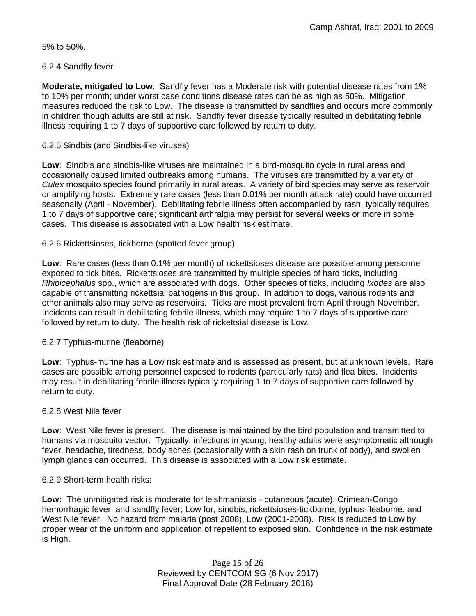5% to 50%.

### 6.2.4 Sandfly fever

**Moderate, mitigated to Low**: Sandfly fever has a Moderate risk with potential disease rates from 1% to 10% per month; under worst case conditions disease rates can be as high as 50%. Mitigation measures reduced the risk to Low. The disease is transmitted by sandflies and occurs more commonly in children though adults are still at risk. Sandfly fever disease typically resulted in debilitating febrile illness requiring 1 to 7 days of supportive care followed by return to duty.

### 6.2.5 Sindbis (and Sindbis-like viruses)

**Low**: Sindbis and sindbis-like viruses are maintained in a bird-mosquito cycle in rural areas and occasionally caused limited outbreaks among humans. The viruses are transmitted by a variety of *Culex* mosquito species found primarily in rural areas. A variety of bird species may serve as reservoir or amplifying hosts. Extremely rare cases (less than 0.01% per month attack rate) could have occurred seasonally (April - November). Debilitating febrile illness often accompanied by rash, typically requires 1 to 7 days of supportive care; significant arthralgia may persist for several weeks or more in some cases. This disease is associated with a Low health risk estimate.

### 6.2.6 Rickettsioses, tickborne (spotted fever group)

**Low**: Rare cases (less than 0.1% per month) of rickettsioses disease are possible among personnel exposed to tick bites. Rickettsioses are transmitted by multiple species of hard ticks, including *Rhipicephalus* spp., which are associated with dogs. Other species of ticks, including *Ixodes* are also capable of transmitting rickettsial pathogens in this group. In addition to dogs, various rodents and other animals also may serve as reservoirs. Ticks are most prevalent from April through November. Incidents can result in debilitating febrile illness, which may require 1 to 7 days of supportive care followed by return to duty. The health risk of rickettsial disease is Low.

### 6.2.7 Typhus-murine (fleaborne)

**Low**: Typhus-murine has a Low risk estimate and is assessed as present, but at unknown levels. Rare cases are possible among personnel exposed to rodents (particularly rats) and flea bites. Incidents may result in debilitating febrile illness typically requiring 1 to 7 days of supportive care followed by return to duty.

### 6.2.8 West Nile fever

**Low**: West Nile fever is present. The disease is maintained by the bird population and transmitted to humans via mosquito vector. Typically, infections in young, healthy adults were asymptomatic although fever, headache, tiredness, body aches (occasionally with a skin rash on trunk of body), and swollen lymph glands can occurred. This disease is associated with a Low risk estimate.

### 6.2.9 Short-term health risks:

**Low:** The unmitigated risk is moderate for leishmaniasis - cutaneous (acute), Crimean-Congo hemorrhagic fever, and sandfly fever; Low for, sindbis, rickettsioses-tickborne*,* typhus-fleaborne, and West Nile fever. No hazard from malaria (post 2008), Low (2001-2008). Risk is reduced to Low by proper wear of the uniform and application of repellent to exposed skin. Confidence in the risk estimate is High.

> Page 15 of 26 Reviewed by CENTCOM SG (6 Nov 2017) Final Approval Date (28 February 2018)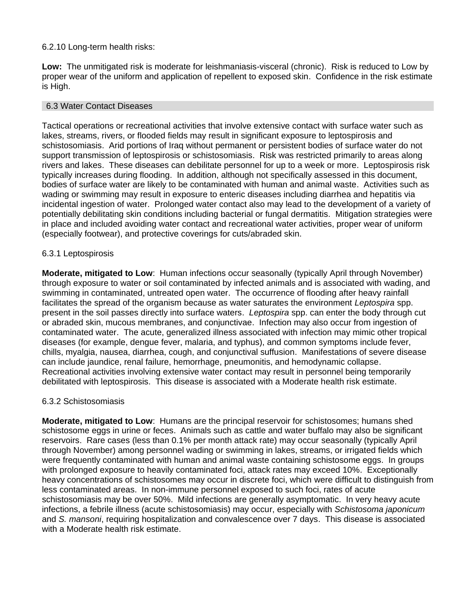### 6.2.10 Long-term health risks:

**Low:** The unmitigated risk is moderate for leishmaniasis-visceral (chronic). Risk is reduced to Low by proper wear of the uniform and application of repellent to exposed skin. Confidence in the risk estimate is High.

#### 6.3 Water Contact Diseases

Tactical operations or recreational activities that involve extensive contact with surface water such as lakes, streams, rivers, or flooded fields may result in significant exposure to leptospirosis and schistosomiasis. Arid portions of Iraq without permanent or persistent bodies of surface water do not support transmission of leptospirosis or schistosomiasis. Risk was restricted primarily to areas along rivers and lakes. These diseases can debilitate personnel for up to a week or more. Leptospirosis risk typically increases during flooding. In addition, although not specifically assessed in this document, bodies of surface water are likely to be contaminated with human and animal waste. Activities such as wading or swimming may result in exposure to enteric diseases including diarrhea and hepatitis via incidental ingestion of water. Prolonged water contact also may lead to the development of a variety of potentially debilitating skin conditions including bacterial or fungal dermatitis. Mitigation strategies were in place and included avoiding water contact and recreational water activities, proper wear of uniform (especially footwear), and protective coverings for cuts/abraded skin.

### 6.3.1 Leptospirosis

**Moderate, mitigated to Low**: Human infections occur seasonally (typically April through November) through exposure to water or soil contaminated by infected animals and is associated with wading, and swimming in contaminated, untreated open water. The occurrence of flooding after heavy rainfall facilitates the spread of the organism because as water saturates the environment *Leptospira* spp. present in the soil passes directly into surface waters. *Leptospira* spp. can enter the body through cut or abraded skin, mucous membranes, and conjunctivae. Infection may also occur from ingestion of contaminated water. The acute, generalized illness associated with infection may mimic other tropical diseases (for example, dengue fever, malaria, and typhus), and common symptoms include fever, chills, myalgia, nausea, diarrhea, cough, and conjunctival suffusion. Manifestations of severe disease can include jaundice, renal failure, hemorrhage, pneumonitis, and hemodynamic collapse. Recreational activities involving extensive water contact may result in personnel being temporarily debilitated with leptospirosis. This disease is associated with a Moderate health risk estimate.

### 6.3.2 Schistosomiasis

**Moderate, mitigated to Low**: Humans are the principal reservoir for schistosomes; humans shed schistosome eggs in urine or feces. Animals such as cattle and water buffalo may also be significant reservoirs. Rare cases (less than 0.1% per month attack rate) may occur seasonally (typically April through November) among personnel wading or swimming in lakes, streams, or irrigated fields which were frequently contaminated with human and animal waste containing schistosome eggs. In groups with prolonged exposure to heavily contaminated foci, attack rates may exceed 10%. Exceptionally heavy concentrations of schistosomes may occur in discrete foci, which were difficult to distinguish from less contaminated areas. In non-immune personnel exposed to such foci, rates of acute schistosomiasis may be over 50%. Mild infections are generally asymptomatic. In very heavy acute infections, a febrile illness (acute schistosomiasis) may occur, especially with *Schistosoma japonicum*  and *S. mansoni*, requiring hospitalization and convalescence over 7 days. This disease is associated with a Moderate health risk estimate.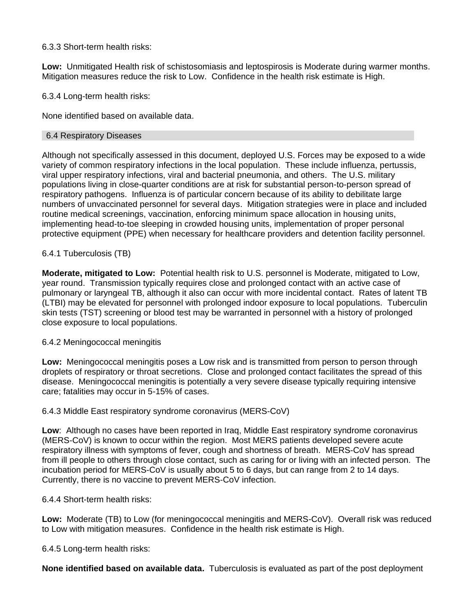### 6.3.3 Short-term health risks:

**Low:** Unmitigated Health risk of schistosomiasis and leptospirosis is Moderate during warmer months. Mitigation measures reduce the risk to Low. Confidence in the health risk estimate is High.

6.3.4 Long-term health risks:

None identified based on available data.

### 6.4 Respiratory Diseases

Although not specifically assessed in this document, deployed U.S. Forces may be exposed to a wide variety of common respiratory infections in the local population. These include influenza, pertussis, viral upper respiratory infections, viral and bacterial pneumonia, and others. The U.S. military populations living in close-quarter conditions are at risk for substantial person-to-person spread of respiratory pathogens. Influenza is of particular concern because of its ability to debilitate large numbers of unvaccinated personnel for several days. Mitigation strategies were in place and included routine medical screenings, vaccination, enforcing minimum space allocation in housing units, implementing head-to-toe sleeping in crowded housing units, implementation of proper personal protective equipment (PPE) when necessary for healthcare providers and detention facility personnel.

### 6.4.1 Tuberculosis (TB)

**Moderate, mitigated to Low:** Potential health risk to U.S. personnel is Moderate, mitigated to Low, year round. Transmission typically requires close and prolonged contact with an active case of pulmonary or laryngeal TB, although it also can occur with more incidental contact. Rates of latent TB (LTBI) may be elevated for personnel with prolonged indoor exposure to local populations. Tuberculin skin tests (TST) screening or blood test may be warranted in personnel with a history of prolonged close exposure to local populations.

### 6.4.2 Meningococcal meningitis

**Low:** Meningococcal meningitis poses a Low risk and is transmitted from person to person through droplets of respiratory or throat secretions. Close and prolonged contact facilitates the spread of this disease. Meningococcal meningitis is potentially a very severe disease typically requiring intensive care; fatalities may occur in 5-15% of cases.

### 6.4.3 Middle East respiratory syndrome coronavirus (MERS-CoV)

**Low**: Although no cases have been reported in Iraq, Middle East respiratory syndrome coronavirus (MERS-CoV) is known to occur within the region. Most MERS patients developed severe acute respiratory illness with symptoms of fever, cough and shortness of breath. MERS-CoV has spread from ill people to others through close contact, such as caring for or living with an infected person. The incubation period for MERS-CoV is usually about 5 to 6 days, but can range from 2 to 14 days. Currently, there is no vaccine to prevent MERS-CoV infection.

6.4.4 Short-term health risks:

**Low:** Moderate (TB) to Low (for meningococcal meningitis and MERS-CoV). Overall risk was reduced to Low with mitigation measures. Confidence in the health risk estimate is High.

6.4.5 Long-term health risks:

**None identified based on available data.** Tuberculosis is evaluated as part of the post deployment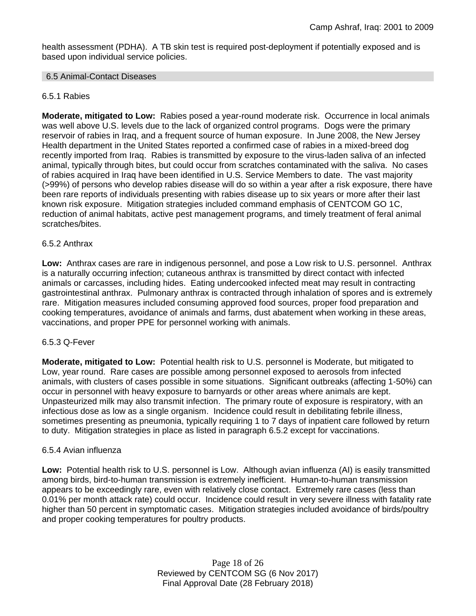health assessment (PDHA). A TB skin test is required post-deployment if potentially exposed and is based upon individual service policies.

### 6.5 Animal-Contact Diseases

### 6.5.1 Rabies

**Moderate, mitigated to Low:** Rabies posed a year-round moderate risk. Occurrence in local animals was well above U.S. levels due to the lack of organized control programs. Dogs were the primary reservoir of rabies in Iraq, and a frequent source of human exposure. In June 2008, the New Jersey Health department in the United States reported a confirmed case of rabies in a mixed-breed dog recently imported from Iraq. Rabies is transmitted by exposure to the virus-laden saliva of an infected animal, typically through bites, but could occur from scratches contaminated with the saliva. No cases of rabies acquired in Iraq have been identified in U.S. Service Members to date. The vast majority (>99%) of persons who develop rabies disease will do so within a year after a risk exposure, there have been rare reports of individuals presenting with rabies disease up to six years or more after their last known risk exposure. Mitigation strategies included command emphasis of CENTCOM GO 1C, reduction of animal habitats, active pest management programs, and timely treatment of feral animal scratches/bites.

### 6.5.2 Anthrax

**Low:** Anthrax cases are rare in indigenous personnel, and pose a Low risk to U.S. personnel. Anthrax is a naturally occurring infection; cutaneous anthrax is transmitted by direct contact with infected animals or carcasses, including hides. Eating undercooked infected meat may result in contracting gastrointestinal anthrax. Pulmonary anthrax is contracted through inhalation of spores and is extremely rare. Mitigation measures included consuming approved food sources, proper food preparation and cooking temperatures, avoidance of animals and farms, dust abatement when working in these areas, vaccinations, and proper PPE for personnel working with animals.

### 6.5.3 Q-Fever

**Moderate, mitigated to Low:** Potential health risk to U.S. personnel is Moderate, but mitigated to Low, year round. Rare cases are possible among personnel exposed to aerosols from infected animals, with clusters of cases possible in some situations. Significant outbreaks (affecting 1-50%) can occur in personnel with heavy exposure to barnyards or other areas where animals are kept. Unpasteurized milk may also transmit infection. The primary route of exposure is respiratory, with an infectious dose as low as a single organism. Incidence could result in debilitating febrile illness, sometimes presenting as pneumonia, typically requiring 1 to 7 days of inpatient care followed by return to duty. Mitigation strategies in place as listed in paragraph 6.5.2 except for vaccinations.

### 6.5.4 Avian influenza

**Low:** Potential health risk to U.S. personnel is Low. Although avian influenza (AI) is easily transmitted among birds, bird-to-human transmission is extremely inefficient. Human-to-human transmission appears to be exceedingly rare, even with relatively close contact. Extremely rare cases (less than 0.01% per month attack rate) could occur. Incidence could result in very severe illness with fatality rate higher than 50 percent in symptomatic cases. Mitigation strategies included avoidance of birds/poultry and proper cooking temperatures for poultry products.

> Page 18 of 26 Reviewed by CENTCOM SG (6 Nov 2017) Final Approval Date (28 February 2018)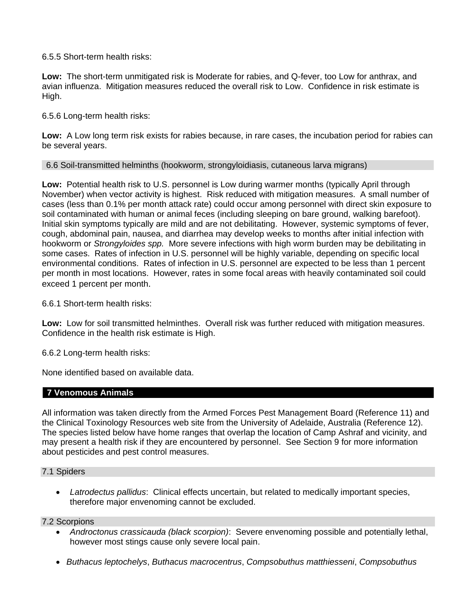6.5.5 Short-term health risks:

**Low:** The short-term unmitigated risk is Moderate for rabies, and Q-fever, too Low for anthrax, and avian influenza. Mitigation measures reduced the overall risk to Low. Confidence in risk estimate is High.

6.5.6 Long-term health risks:

**Low:** A Low long term risk exists for rabies because, in rare cases, the incubation period for rabies can be several years.

6.6 Soil-transmitted helminths (hookworm, strongyloidiasis, cutaneous larva migrans)

**Low:** Potential health risk to U.S. personnel is Low during warmer months (typically April through November) when vector activity is highest. Risk reduced with mitigation measures. A small number of cases (less than 0.1% per month attack rate) could occur among personnel with direct skin exposure to soil contaminated with human or animal feces (including sleeping on bare ground, walking barefoot). Initial skin symptoms typically are mild and are not debilitating. However, systemic symptoms of fever, cough, abdominal pain, nausea, and diarrhea may develop weeks to months after initial infection with hookworm or *Strongyloides spp.* More severe infections with high worm burden may be debilitating in some cases. Rates of infection in U.S. personnel will be highly variable, depending on specific local environmental conditions. Rates of infection in U.S. personnel are expected to be less than 1 percent per month in most locations. However, rates in some focal areas with heavily contaminated soil could exceed 1 percent per month.

6.6.1 Short-term health risks:

**Low:** Low for soil transmitted helminthes. Overall risk was further reduced with mitigation measures. Confidence in the health risk estimate is High.

6.6.2 Long-term health risks:

None identified based on available data.

### **7 Venomous Animals**

All information was taken directly from the Armed Forces Pest Management Board (Reference 11) and the Clinical Toxinology Resources web site from the University of Adelaide, Australia (Reference 12). The species listed below have home ranges that overlap the location of Camp Ashraf and vicinity, and may present a health risk if they are encountered by personnel. See Section 9 for more information about pesticides and pest control measures.

### 7.1 Spiders

 *Latrodectus pallidus*: Clinical effects uncertain, but related to medically important species, therefore major envenoming cannot be excluded.

### 7.2 Scorpions

- *Androctonus crassicauda (black scorpion)*:Severe envenoming possible and potentially lethal, however most stings cause only severe local pain.
- *Buthacus leptochelys*, *Buthacus macrocentrus*, *Compsobuthus matthiesseni*, *Compsobuthus*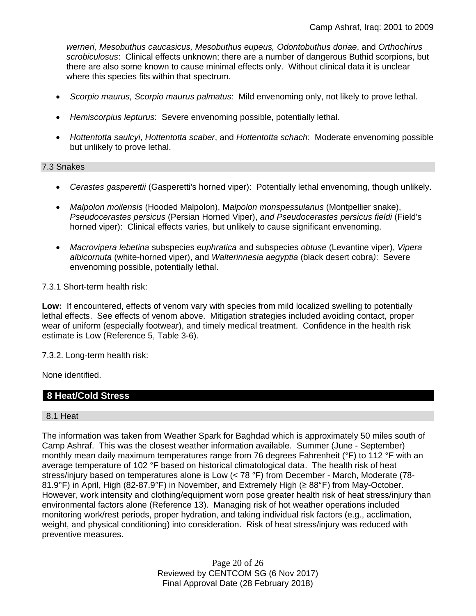*werneri, Mesobuthus caucasicus, Mesobuthus eupeus, Odontobuthus doriae*, and *Orthochirus scrobiculosus*: Clinical effects unknown; there are a number of dangerous Buthid scorpions, but there are also some known to cause minimal effects only. Without clinical data it is unclear where this species fits within that spectrum.

- *Scorpio maurus, Scorpio maurus palmatus*: Mild envenoming only, not likely to prove lethal.
- *Hemiscorpius lepturus*: Severe envenoming possible, potentially lethal.
- *Hottentotta saulcyi*, *Hottentotta scaber*, and *Hottentotta schach*: Moderate envenoming possible but unlikely to prove lethal.

### 7.3 Snakes

- *Cerastes gasperettii* (Gasperetti's horned viper): Potentially lethal envenoming, though unlikely.
- *Malpolon moilensis* (Hooded Malpolon), M*alpolon monspessulanus* (Montpellier snake), *Pseudocerastes persicus* (Persian Horned Viper), *and Pseudocerastes persicus fieldi* (Field's horned viper): Clinical effects varies, but unlikely to cause significant envenoming.
- *Macrovipera lebetina* subspecies e*uphratica* and subspecies *obtuse* (Levantine viper), *Vipera albicornuta* (white-horned viper), and *Walterinnesia aegyptia* (black desert cobra*)*: Severe envenoming possible, potentially lethal.

7.3.1 Short-term health risk:

**Low:** If encountered, effects of venom vary with species from mild localized swelling to potentially lethal effects. See effects of venom above. Mitigation strategies included avoiding contact, proper wear of uniform (especially footwear), and timely medical treatment. Confidence in the health risk estimate is Low (Reference 5, Table 3-6).

7.3.2. Long-term health risk:

None identified.

## **8 Heat/Cold Stress**

#### 8.1 Heat

The information was taken from Weather Spark for Baghdad which is approximately 50 miles south of Camp Ashraf. This was the closest weather information available. Summer (June - September) monthly mean daily maximum temperatures range from 76 degrees Fahrenheit (°F) to 112 °F with an average temperature of 102 °F based on historical climatological data. The health risk of heat stress/injury based on temperatures alone is Low (< 78 °F) from December - March, Moderate (78- 81.9°F) in April, High (82-87.9°F) in November, and Extremely High (≥ 88°F) from May-October. However, work intensity and clothing/equipment worn pose greater health risk of heat stress/injury than environmental factors alone (Reference 13). Managing risk of hot weather operations included monitoring work/rest periods, proper hydration, and taking individual risk factors (e.g., acclimation, weight, and physical conditioning) into consideration. Risk of heat stress/injury was reduced with preventive measures.

> Page 20 of 26 Reviewed by CENTCOM SG (6 Nov 2017) Final Approval Date (28 February 2018)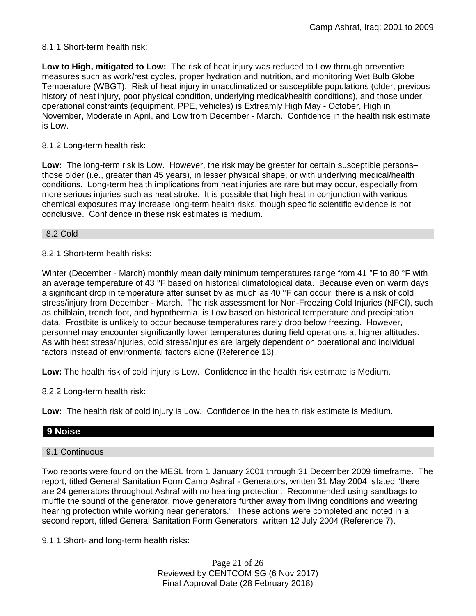### 8.1.1 Short-term health risk:

**Low to High, mitigated to Low:** The risk of heat injury was reduced to Low through preventive measures such as work/rest cycles, proper hydration and nutrition, and monitoring Wet Bulb Globe Temperature (WBGT). Risk of heat injury in unacclimatized or susceptible populations (older, previous history of heat injury, poor physical condition, underlying medical/health conditions), and those under operational constraints (equipment, PPE, vehicles) is Extreamly High May - October, High in November, Moderate in April, and Low from December - March. Confidence in the health risk estimate is Low.

### 8.1.2 Long-term health risk:

**Low:** The long-term risk is Low. However, the risk may be greater for certain susceptible persons– those older (i.e., greater than 45 years), in lesser physical shape, or with underlying medical/health conditions. Long-term health implications from heat injuries are rare but may occur, especially from more serious injuries such as heat stroke. It is possible that high heat in conjunction with various chemical exposures may increase long-term health risks, though specific scientific evidence is not conclusive. Confidence in these risk estimates is medium.

#### 8.2 Cold

### 8.2.1 Short-term health risks:

Winter (December - March) monthly mean daily minimum temperatures range from 41 °F to 80 °F with an average temperature of 43 °F based on historical climatological data. Because even on warm days a significant drop in temperature after sunset by as much as 40 °F can occur, there is a risk of cold stress/injury from December - March. The risk assessment for Non-Freezing Cold Injuries (NFCI), such as chilblain, trench foot, and hypothermia, is Low based on historical temperature and precipitation data. Frostbite is unlikely to occur because temperatures rarely drop below freezing. However, personnel may encounter significantly lower temperatures during field operations at higher altitudes. As with heat stress/injuries, cold stress/injuries are largely dependent on operational and individual factors instead of environmental factors alone (Reference 13).

**Low:** The health risk of cold injury is Low. Confidence in the health risk estimate is Medium.

8.2.2 Long-term health risk:

**Low:** The health risk of cold injury is Low. Confidence in the health risk estimate is Medium.

### **9 Noise**

### 9.1 Continuous

Two reports were found on the MESL from 1 January 2001 through 31 December 2009 timeframe. The report, titled General Sanitation Form Camp Ashraf - Generators, written 31 May 2004, stated "there are 24 generators throughout Ashraf with no hearing protection. Recommended using sandbags to muffle the sound of the generator, move generators further away from living conditions and wearing hearing protection while working near generators." These actions were completed and noted in a second report, titled General Sanitation Form Generators, written 12 July 2004 (Reference 7).

9.1.1 Short- and long-term health risks:

Page 21 of 26 Reviewed by CENTCOM SG (6 Nov 2017) Final Approval Date (28 February 2018)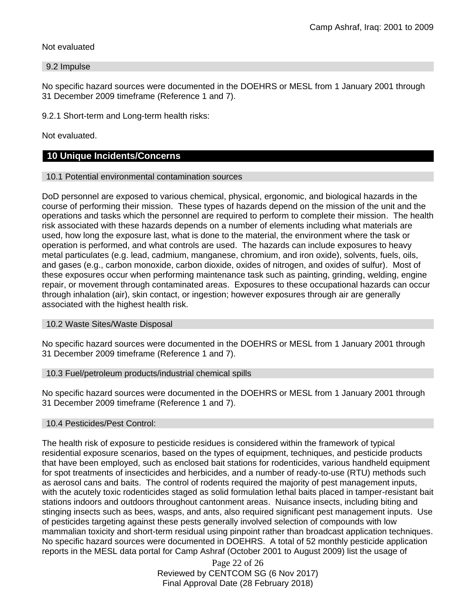### Not evaluated

#### 9.2 Impulse

No specific hazard sources were documented in the DOEHRS or MESL from 1 January 2001 through 31 December 2009 timeframe (Reference 1 and 7).

9.2.1 Short-term and Long-term health risks:

Not evaluated.

### **10 Unique Incidents/Concerns**

#### 10.1 Potential environmental contamination sources

DoD personnel are exposed to various chemical, physical, ergonomic, and biological hazards in the course of performing their mission. These types of hazards depend on the mission of the unit and the operations and tasks which the personnel are required to perform to complete their mission. The health risk associated with these hazards depends on a number of elements including what materials are used, how long the exposure last, what is done to the material, the environment where the task or operation is performed, and what controls are used. The hazards can include exposures to heavy metal particulates (e.g. lead, cadmium, manganese, chromium, and iron oxide), solvents, fuels, oils, and gases (e.g., carbon monoxide, carbon dioxide, oxides of nitrogen, and oxides of sulfur). Most of these exposures occur when performing maintenance task such as painting, grinding, welding, engine repair, or movement through contaminated areas. Exposures to these occupational hazards can occur through inhalation (air), skin contact, or ingestion; however exposures through air are generally associated with the highest health risk.

### 10.2 Waste Sites/Waste Disposal

No specific hazard sources were documented in the DOEHRS or MESL from 1 January 2001 through 31 December 2009 timeframe (Reference 1 and 7).

### 10.3 Fuel/petroleum products/industrial chemical spills

No specific hazard sources were documented in the DOEHRS or MESL from 1 January 2001 through 31 December 2009 timeframe (Reference 1 and 7).

### 10.4 Pesticides/Pest Control:

The health risk of exposure to pesticide residues is considered within the framework of typical residential exposure scenarios, based on the types of equipment, techniques, and pesticide products that have been employed, such as enclosed bait stations for rodenticides, various handheld equipment for spot treatments of insecticides and herbicides, and a number of ready-to-use (RTU) methods such as aerosol cans and baits. The control of rodents required the majority of pest management inputs, with the acutely toxic rodenticides staged as solid formulation lethal baits placed in tamper-resistant bait stations indoors and outdoors throughout cantonment areas. Nuisance insects, including biting and stinging insects such as bees, wasps, and ants, also required significant pest management inputs. Use of pesticides targeting against these pests generally involved selection of compounds with low mammalian toxicity and short-term residual using pinpoint rather than broadcast application techniques. No specific hazard sources were documented in DOEHRS. A total of 52 monthly pesticide application reports in the MESL data portal for Camp Ashraf (October 2001 to August 2009) list the usage of

> Page 22 of 26 Reviewed by CENTCOM SG (6 Nov 2017) Final Approval Date (28 February 2018)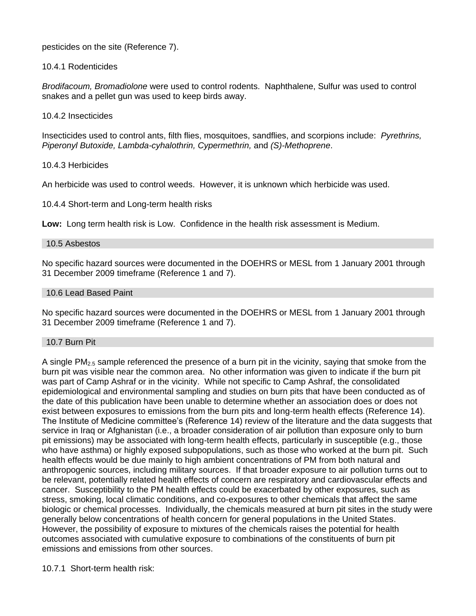pesticides on the site (Reference 7).

10.4.1 Rodenticides

*Brodifacoum, Bromadiolone* were used to control rodents. Naphthalene, Sulfur was used to control snakes and a pellet gun was used to keep birds away.

10.4.2 Insecticides

Insecticides used to control ants, filth flies, mosquitoes, sandflies, and scorpions include: *Pyrethrins, Piperonyl Butoxide, Lambda-cyhalothrin, Cypermethrin,* and *(S)-Methoprene*.

10.4.3 Herbicides

An herbicide was used to control weeds. However, it is unknown which herbicide was used.

10.4.4 Short-term and Long-term health risks

**Low:** Long term health risk is Low. Confidence in the health risk assessment is Medium.

#### 10.5 Asbestos

No specific hazard sources were documented in the DOEHRS or MESL from 1 January 2001 through 31 December 2009 timeframe (Reference 1 and 7).

### 10.6 Lead Based Paint

No specific hazard sources were documented in the DOEHRS or MESL from 1 January 2001 through 31 December 2009 timeframe (Reference 1 and 7).

### 10.7 Burn Pit

A single PM2.5 sample referenced the presence of a burn pit in the vicinity, saying that smoke from the burn pit was visible near the common area. No other information was given to indicate if the burn pit was part of Camp Ashraf or in the vicinity. While not specific to Camp Ashraf, the consolidated epidemiological and environmental sampling and studies on burn pits that have been conducted as of the date of this publication have been unable to determine whether an association does or does not exist between exposures to emissions from the burn pits and long-term health effects (Reference 14). The Institute of Medicine committee's (Reference 14) review of the literature and the data suggests that service in Iraq or Afghanistan (i.e., a broader consideration of air pollution than exposure only to burn pit emissions) may be associated with long-term health effects, particularly in susceptible (e.g., those who have asthma) or highly exposed subpopulations, such as those who worked at the burn pit. Such health effects would be due mainly to high ambient concentrations of PM from both natural and anthropogenic sources, including military sources. If that broader exposure to air pollution turns out to be relevant, potentially related health effects of concern are respiratory and cardiovascular effects and cancer. Susceptibility to the PM health effects could be exacerbated by other exposures, such as stress, smoking, local climatic conditions, and co-exposures to other chemicals that affect the same biologic or chemical processes. Individually, the chemicals measured at burn pit sites in the study were generally below concentrations of health concern for general populations in the United States. However, the possibility of exposure to mixtures of the chemicals raises the potential for health outcomes associated with cumulative exposure to combinations of the constituents of burn pit emissions and emissions from other sources.

10.7.1 Short-term health risk: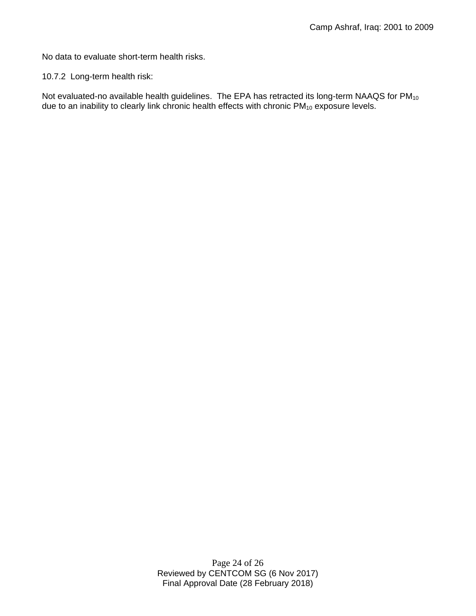No data to evaluate short-term health risks.

10.7.2 Long-term health risk:

Not evaluated-no available health guidelines. The EPA has retracted its long-term NAAQS for PM<sub>10</sub> due to an inability to clearly link chronic health effects with chronic PM<sub>10</sub> exposure levels.

> Page 24 of 26 Reviewed by CENTCOM SG (6 Nov 2017) Final Approval Date (28 February 2018)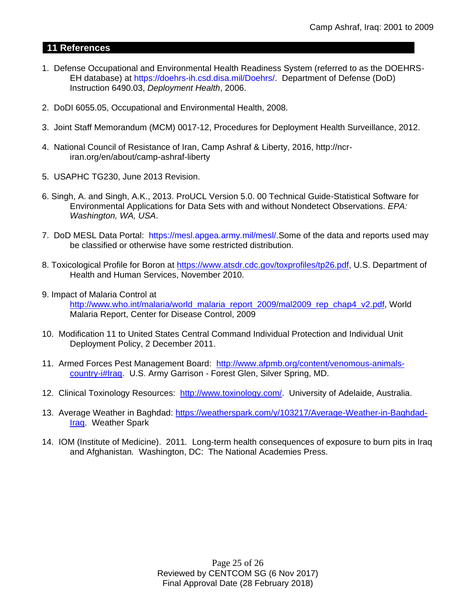## **11 References**

- 1. Defense Occupational and Environmental Health Readiness System (referred to as the DOEHRS-EH database) at https://doehrs-ih.csd.disa.mil/Doehrs/. Department of Defense (DoD) Instruction 6490.03, *Deployment Health*, 2006.
- 2. DoDI 6055.05, Occupational and Environmental Health, 2008.
- 3. Joint Staff Memorandum (MCM) 0017-12, Procedures for Deployment Health Surveillance, 2012.
- 4. National Council of Resistance of Iran, Camp Ashraf & Liberty, 2016, http://ncriran.org/en/about/camp-ashraf-liberty
- 5. USAPHC TG230, June 2013 Revision.
- 6. Singh, A. and Singh, A.K., 2013. ProUCL Version 5.0. 00 Technical Guide-Statistical Software for Environmental Applications for Data Sets with and without Nondetect Observations. *EPA: Washington, WA, USA*.
- 7. DoD MESL Data Portal: https://mesl.apgea.army.mil/mesl/.Some of the data and reports used may be classified or otherwise have some restricted distribution.
- 8. Toxicological Profile for Boron at [https://www.atsdr.cdc.gov/toxprofiles/tp26.pdf,](https://www.atsdr.cdc.gov/toxprofiles/tp26.pdf) U.S. Department of Health and Human Services, November 2010.
- 9. Impact of Malaria Control at

[http://www.who.int/malaria/world\\_malaria\\_report\\_2009/mal2009\\_rep\\_chap4\\_v2.pdf,](http://www.who.int/malaria/world_malaria_report_2009/mal2009_rep_chap4_v2.pdf) World Malaria Report, Center for Disease Control, 2009

- 10. Modification 11 to United States Central Command Individual Protection and Individual Unit Deployment Policy, 2 December 2011.
- 11. Armed Forces Pest Management Board: [http://www.afpmb.org/content/venomous-animals](http://www.afpmb.org/content/venomous-animals-country-i#Iraq)[country-i#Iraq.](http://www.afpmb.org/content/venomous-animals-country-i#Iraq) U.S. Army Garrison - Forest Glen, Silver Spring, MD.
- 12. Clinical Toxinology Resources: [http://www.toxinology.com/.](http://www.toxinology.com/) University of Adelaide, Australia.
- 13. Average Weather in Baghdad: [https://weatherspark.com/y/103217/Average-Weather-in-Baghdad-](https://weatherspark.com/y/103217/Average-Weather-in-Baghdad-Iraq)[Iraq.](https://weatherspark.com/y/103217/Average-Weather-in-Baghdad-Iraq) Weather Spark
- 14. IOM (Institute of Medicine). 2011*.* Long-term health consequences of exposure to burn pits in Iraq and Afghanistan*.* Washington, DC: The National Academies Press.